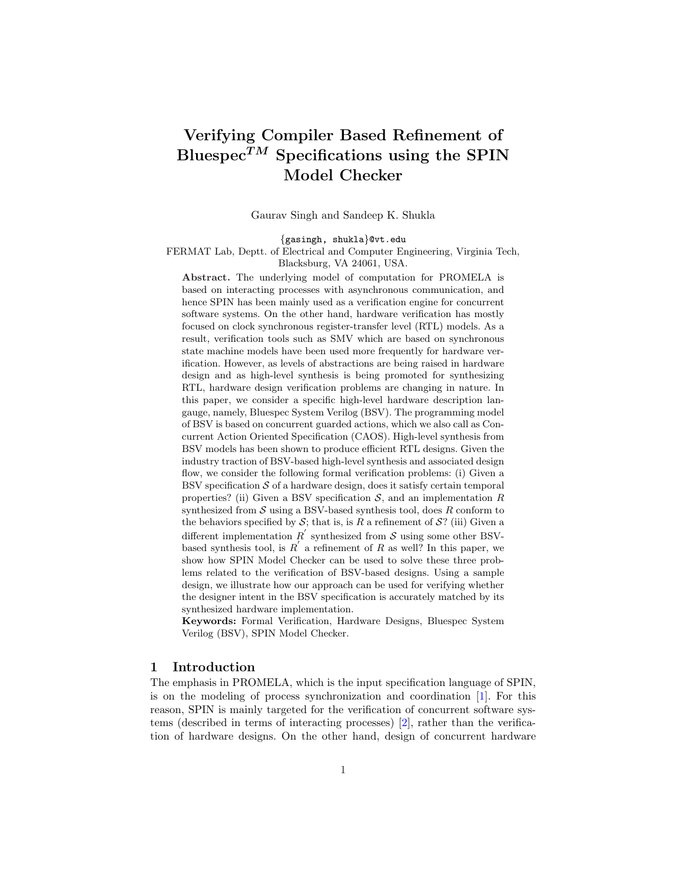# Verifying Compiler Based Refinement of Bluespec<sup>TM</sup> Specifications using the SPIN Model Checker

Gaurav Singh and Sandeep K. Shukla

{gasingh, shukla}@vt.edu

FERMAT Lab, Deptt. of Electrical and Computer Engineering, Virginia Tech, Blacksburg, VA 24061, USA.

Abstract. The underlying model of computation for PROMELA is based on interacting processes with asynchronous communication, and hence SPIN has been mainly used as a verification engine for concurrent software systems. On the other hand, hardware verification has mostly focused on clock synchronous register-transfer level (RTL) models. As a result, verification tools such as SMV which are based on synchronous state machine models have been used more frequently for hardware verification. However, as levels of abstractions are being raised in hardware design and as high-level synthesis is being promoted for synthesizing RTL, hardware design verification problems are changing in nature. In this paper, we consider a specific high-level hardware description langauge, namely, Bluespec System Verilog (BSV). The programming model of BSV is based on concurrent guarded actions, which we also call as Concurrent Action Oriented Specification (CAOS). High-level synthesis from BSV models has been shown to produce efficient RTL designs. Given the industry traction of BSV-based high-level synthesis and associated design flow, we consider the following formal verification problems: (i) Given a BSV specification  $S$  of a hardware design, does it satisfy certain temporal properties? (ii) Given a BSV specification  $S$ , and an implementation  $R$ synthesized from  $S$  using a BSV-based synthesis tool, does  $R$  conform to the behaviors specified by  $S$ ; that is, is R a refinement of  $S$ ? (iii) Given a different implementation  $R^{'}$  synthesized from S using some other BSVbased synthesis tool, is  $R'$  a refinement of R as well? In this paper, we show how SPIN Model Checker can be used to solve these three problems related to the verification of BSV-based designs. Using a sample design, we illustrate how our approach can be used for verifying whether the designer intent in the BSV specification is accurately matched by its synthesized hardware implementation.

Keywords: Formal Verification, Hardware Designs, Bluespec System Verilog (BSV), SPIN Model Checker.

# 1 Introduction

The emphasis in PROMELA, which is the input specification language of SPIN, is on the modeling of process synchronization and coordination [1]. For this reason, SPIN is mainly targeted for the verification of concurrent software systems (described in terms of interacting processes) [2], rather than the verification of hardware designs. On the other hand, design of concurrent hardware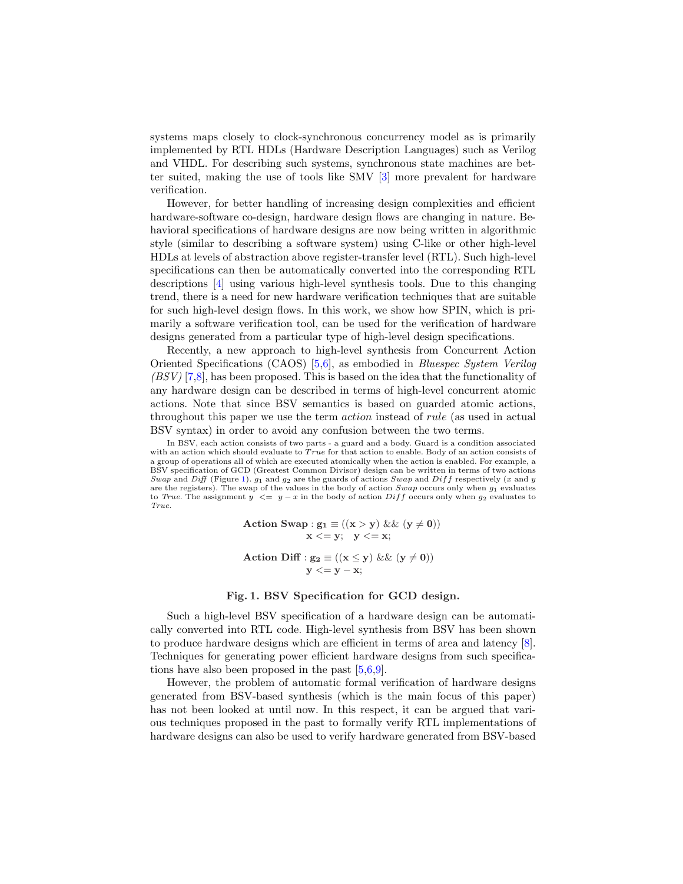systems maps closely to clock-synchronous concurrency model as is primarily implemented by RTL HDLs (Hardware Description Languages) such as Verilog and VHDL. For describing such systems, synchronous state machines are better suited, making the use of tools like SMV [3] more prevalent for hardware verification.

However, for better handling of increasing design complexities and efficient hardware-software co-design, hardware design flows are changing in nature. Behavioral specifications of hardware designs are now being written in algorithmic style (similar to describing a software system) using C-like or other high-level HDLs at levels of abstraction above register-transfer level (RTL). Such high-level specifications can then be automatically converted into the corresponding RTL descriptions [4] using various high-level synthesis tools. Due to this changing trend, there is a need for new hardware verification techniques that are suitable for such high-level design flows. In this work, we show how SPIN, which is primarily a software verification tool, can be used for the verification of hardware designs generated from a particular type of high-level design specifications.

Recently, a new approach to high-level synthesis from Concurrent Action Oriented Specifications (CAOS) [5,6], as embodied in Bluespec System Verilog  $(BSV)$  [7,8], has been proposed. This is based on the idea that the functionality of any hardware design can be described in terms of high-level concurrent atomic actions. Note that since BSV semantics is based on guarded atomic actions, throughout this paper we use the term action instead of rule (as used in actual BSV syntax) in order to avoid any confusion between the two terms.

In BSV, each action consists of two parts - a guard and a body. Guard is a condition associated with an action which should evaluate to  $\hat{Tr}ue$  for that action to enable. Body of an action consists of a group of operations all of which are executed atomically when the action is enabled. For example, a BSV specification of GCD (Greatest Common Divisor) design can be written in terms of two actions Swap and Diff (Figure 1).  $g_1$  and  $g_2$  are the guards of actions Swap and Diff respectively (x and y are the registers). The swap of the values in the body of action  $Swap$  occurs only when  $g_1$  evaluates to True. The assignment  $y \leq y - x$  in the body of action Diff occurs only when  $g_2$  evaluates to True.

> Action Swap :  $g_1 \equiv ((x > y) \& (y \neq 0))$  $x \le y$ ;  $y \le x$ ;

Action Diff :  $g_2 \equiv ((x \le y) \&\& (y \ne 0))$  $y \le y - x;$ 

# Fig. 1. BSV Specification for GCD design.

Such a high-level BSV specification of a hardware design can be automatically converted into RTL code. High-level synthesis from BSV has been shown to produce hardware designs which are efficient in terms of area and latency [8]. Techniques for generating power efficient hardware designs from such specifications have also been proposed in the past  $[5,6,9]$ .

However, the problem of automatic formal verification of hardware designs generated from BSV-based synthesis (which is the main focus of this paper) has not been looked at until now. In this respect, it can be argued that various techniques proposed in the past to formally verify RTL implementations of hardware designs can also be used to verify hardware generated from BSV-based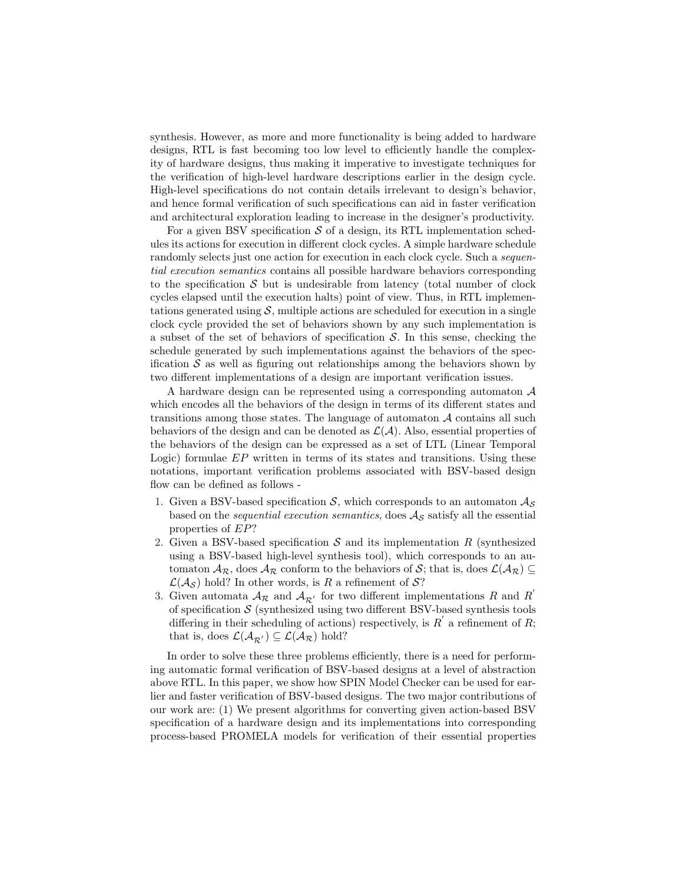synthesis. However, as more and more functionality is being added to hardware designs, RTL is fast becoming too low level to efficiently handle the complexity of hardware designs, thus making it imperative to investigate techniques for the verification of high-level hardware descriptions earlier in the design cycle. High-level specifications do not contain details irrelevant to design's behavior, and hence formal verification of such specifications can aid in faster verification and architectural exploration leading to increase in the designer's productivity.

For a given BSV specification  $S$  of a design, its RTL implementation schedules its actions for execution in different clock cycles. A simple hardware schedule randomly selects just one action for execution in each clock cycle. Such a sequential execution semantics contains all possible hardware behaviors corresponding to the specification  $\mathcal S$  but is undesirable from latency (total number of clock cycles elapsed until the execution halts) point of view. Thus, in RTL implementations generated using  $S$ , multiple actions are scheduled for execution in a single clock cycle provided the set of behaviors shown by any such implementation is a subset of the set of behaviors of specification  $S$ . In this sense, checking the schedule generated by such implementations against the behaviors of the specification  $\mathcal S$  as well as figuring out relationships among the behaviors shown by two different implementations of a design are important verification issues.

A hardware design can be represented using a corresponding automaton A which encodes all the behaviors of the design in terms of its different states and transitions among those states. The language of automaton  $A$  contains all such behaviors of the design and can be denoted as  $\mathcal{L}(\mathcal{A})$ . Also, essential properties of the behaviors of the design can be expressed as a set of LTL (Linear Temporal Logic) formulae  $EP$  written in terms of its states and transitions. Using these notations, important verification problems associated with BSV-based design flow can be defined as follows -

- 1. Given a BSV-based specification S, which corresponds to an automaton  $A_{\mathcal{S}}$ based on the sequential execution semantics, does  $A_{\mathcal{S}}$  satisfy all the essential properties of EP?
- 2. Given a BSV-based specification  $S$  and its implementation  $R$  (synthesized using a BSV-based high-level synthesis tool), which corresponds to an automaton  $A_{\mathcal{R}}$ , does  $A_{\mathcal{R}}$  conform to the behaviors of S; that is, does  $\mathcal{L}(A_{\mathcal{R}}) \subseteq$  $\mathcal{L}(\mathcal{A}_{\mathcal{S}})$  hold? In other words, is R a refinement of  $\mathcal{S}$ ?
- 3. Given automata  $A_{\mathcal{R}}$  and  $A_{\mathcal{R}'}$  for two different implementations R and R' of specification  $\mathcal S$  (synthesized using two different BSV-based synthesis tools differing in their scheduling of actions) respectively, is  $R'$  a refinement of  $R$ ; that is, does  $\mathcal{L}(\mathcal{A}_{\mathcal{R}'}) \subseteq \mathcal{L}(\mathcal{A}_{\mathcal{R}})$  hold?

In order to solve these three problems efficiently, there is a need for performing automatic formal verification of BSV-based designs at a level of abstraction above RTL. In this paper, we show how SPIN Model Checker can be used for earlier and faster verification of BSV-based designs. The two major contributions of our work are: (1) We present algorithms for converting given action-based BSV specification of a hardware design and its implementations into corresponding process-based PROMELA models for verification of their essential properties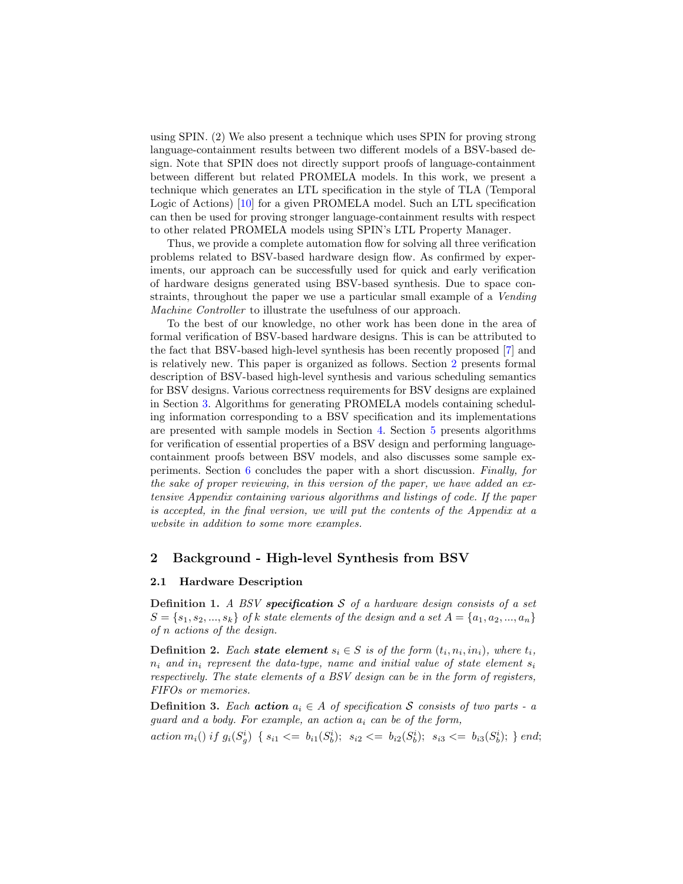using SPIN. (2) We also present a technique which uses SPIN for proving strong language-containment results between two different models of a BSV-based design. Note that SPIN does not directly support proofs of language-containment between different but related PROMELA models. In this work, we present a technique which generates an LTL specification in the style of TLA (Temporal Logic of Actions) [10] for a given PROMELA model. Such an LTL specification can then be used for proving stronger language-containment results with respect to other related PROMELA models using SPIN's LTL Property Manager.

Thus, we provide a complete automation flow for solving all three verification problems related to BSV-based hardware design flow. As confirmed by experiments, our approach can be successfully used for quick and early verification of hardware designs generated using BSV-based synthesis. Due to space constraints, throughout the paper we use a particular small example of a Vending Machine Controller to illustrate the usefulness of our approach.

To the best of our knowledge, no other work has been done in the area of formal verification of BSV-based hardware designs. This is can be attributed to the fact that BSV-based high-level synthesis has been recently proposed [7] and is relatively new. This paper is organized as follows. Section 2 presents formal description of BSV-based high-level synthesis and various scheduling semantics for BSV designs. Various correctness requirements for BSV designs are explained in Section 3. Algorithms for generating PROMELA models containing scheduling information corresponding to a BSV specification and its implementations are presented with sample models in Section 4. Section 5 presents algorithms for verification of essential properties of a BSV design and performing languagecontainment proofs between BSV models, and also discusses some sample experiments. Section 6 concludes the paper with a short discussion. Finally, for the sake of proper reviewing, in this version of the paper, we have added an extensive Appendix containing various algorithms and listings of code. If the paper is accepted, in the final version, we will put the contents of the Appendix at a website in addition to some more examples.

# 2 Background - High-level Synthesis from BSV

#### 2.1 Hardware Description

**Definition 1.** A BSV specification S of a hardware design consists of a set  $S = \{s_1, s_2, ..., s_k\}$  of k state elements of the design and a set  $A = \{a_1, a_2, ..., a_n\}$ of n actions of the design.

**Definition 2.** Each **state element**  $s_i \in S$  is of the form  $(t_i, n_i, in_i)$ , where  $t_i$ ,  $n_i$  and in<sub>i</sub> represent the data-type, name and initial value of state element  $s_i$ respectively. The state elements of a BSV design can be in the form of registers, FIFOs or memories.

**Definition 3.** Each **action**  $a_i \in A$  of specification S consists of two parts - a guard and a body. For example, an action  $a_i$  can be of the form,

 $action\ m_i() \ if\ g_i(S_g^i) \ \{ s_{i1} \leq b_{i1}(S_b^i); \ s_{i2} \leq b_{i2}(S_b^i); \ s_{i3} \leq b_{i3}(S_b^i); \} \ end;$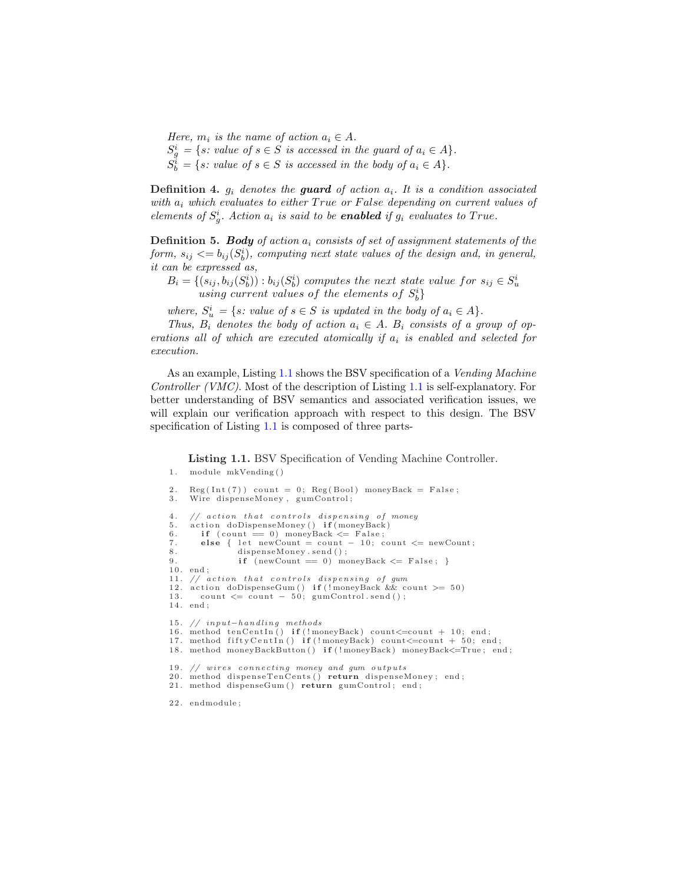Here,  $m_i$  is the name of action  $a_i \in A$ .

 $S_g^i = \{s: value \text{ of } s \in S \text{ is accessed in the guard of } a_i \in A\}.$ 

 $S_b^i = \{s: value \text{ of } s \in S \text{ is accessed in the body of } a_i \in A\}.$ 

**Definition 4.**  $g_i$  denotes the **guard** of action  $a_i$ . It is a condition associated with  $a_i$  which evaluates to either True or False depending on current values of elements of  $S_g^i$ . Action  $a_i$  is said to be **enabled** if  $g_i$  evaluates to True.

**Definition 5.** Body of action  $a_i$  consists of set of assignment statements of the form,  $s_{ij} \leq b_{ij}(S_b^i)$ , computing next state values of the design and, in general, it can be expressed as,

 $B_i = \{(s_{ij}, b_{ij}(S_b^i)) : b_{ij}(S_b^i)$  computes the next state value for  $s_{ij} \in S_u^i$  $using current values of the elements of S<sub>b</sub><sup>i</sup>$ 

where,  $S_u^i = \{s: value \text{ of } s \in S \text{ is updated in the body of } a_i \in A\}.$ 

Thus,  $B_i$  denotes the body of action  $a_i \in A$ .  $B_i$  consists of a group of operations all of which are executed atomically if  $a_i$  is enabled and selected for execution.

As an example, Listing 1.1 shows the BSV specification of a Vending Machine Controller (VMC). Most of the description of Listing 1.1 is self-explanatory. For better understanding of BSV semantics and associated verification issues, we will explain our verification approach with respect to this design. The BSV specification of Listing 1.1 is composed of three parts-

Listing 1.1. BSV Specification of Vending Machine Controller.

```
1. module mkVending()
```

```
2. \text{Reg}(\text{Int}(7)) count = 0; \text{Reg}(\text{Bool}) moneyBack = False;
3. Wire dispenseMoney, gumControl;
4. // action that controls dispensing of money5. action doDispenseMoney() if (moneyBack)<br>6. if (count == 0) moneyBack <= False;
7. else { let newCount = count - 10; count \leq newCount;
               dispenseMoney.send();
9. if (newCount == 0) moneyBack \leq False;10. end;
11. // action that controls dispensing of gum
12. action doDispenseGum () if ( ! moneyBack && count >= 50)
13. count \leq count -50; gumControl.send();
14. end:
15. // input-handling methods
16. method tenCentIn() if('moneyBack) count \leq count + 10; end;17. method fiftyCentIn () if (!moneyBack) count \leq count + 50; end;
18. method moneyBackButton () if (!moneyBack) moneyBack<=True; end;
19. // wires connecting money and gum outputs<br>20. method dispenseTenCents() return dispenseMoney; end;
21. method dispenseGum () return gumControl; end;
22. endmodule;
```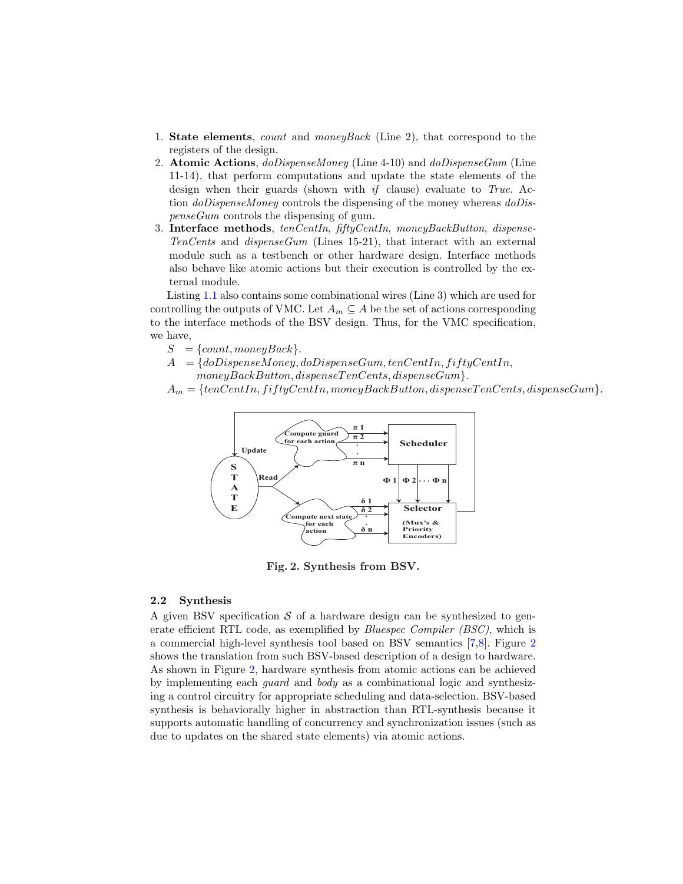- 1. State elements, count and moneyBack (Line 2), that correspond to the registers of the design.
- 2. Atomic Actions, *doDispenseMoney* (Line 4-10) and *doDispenseGum* (Line 11-14), that perform computations and update the state elements of the design when their guards (shown with if clause) evaluate to True. Action *doDispenseMoney* controls the dispensing of the money whereas *doDis*penseGum controls the dispensing of gum.
- 3. Interface methods, tenCentIn, fiftyCentIn, moneyBackButton, dispense-TenCents and dispenseGum (Lines 15-21), that interact with an external module such as a testbench or other hardware design. Interface methods also behave like atomic actions but their execution is controlled by the external module.

Listing 1.1 also contains some combinational wires (Line 3) which are used for controlling the outputs of VMC. Let  $A_m \subseteq A$  be the set of actions corresponding to the interface methods of the BSV design. Thus, for the VMC specification, we have,

- $S = \{count, moneyBack\}.$
- $A = \{doDispenseMoney, doDispenseGum, tenCentIn, fiftyCentIn,$ 
	- $moneyBackButton, dispenseT enCents, dispenseGum\}.$

 $A_m = \{tenCentIn, fiftyCentIn, moneyBackButton, dispenseTenCents, dispenseGum\}.$ 



Fig. 2. Synthesis from BSV.

## 2.2 Synthesis

A given BSV specification  $S$  of a hardware design can be synthesized to generate efficient RTL code, as exemplified by *Bluespec Compiler (BSC)*, which is a commercial high-level synthesis tool based on BSV semantics [7,8]. Figure 2 shows the translation from such BSV-based description of a design to hardware. As shown in Figure 2, hardware synthesis from atomic actions can be achieved by implementing each guard and body as a combinational logic and synthesizing a control circuitry for appropriate scheduling and data-selection. BSV-based synthesis is behaviorally higher in abstraction than RTL-synthesis because it supports automatic handling of concurrency and synchronization issues (such as due to updates on the shared state elements) via atomic actions.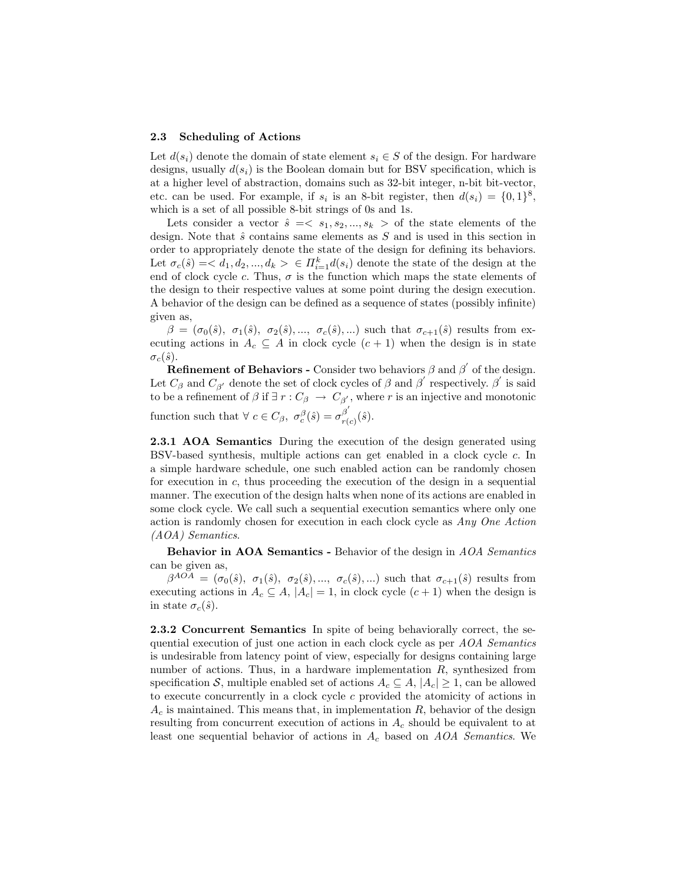#### 2.3 Scheduling of Actions

Let  $d(s_i)$  denote the domain of state element  $s_i \in S$  of the design. For hardware designs, usually  $d(s_i)$  is the Boolean domain but for BSV specification, which is at a higher level of abstraction, domains such as 32-bit integer, n-bit bit-vector, etc. can be used. For example, if  $s_i$  is an 8-bit register, then  $d(s_i) = \{0,1\}^8$ , which is a set of all possible 8-bit strings of 0s and 1s.

Lets consider a vector  $\hat{s} = \langle s_1, s_2, ..., s_k \rangle$  of the state elements of the design. Note that  $\hat{s}$  contains same elements as  $S$  and is used in this section in order to appropriately denote the state of the design for defining its behaviors. Let  $\sigma_c(\hat{s}) = \langle d_1, d_2, ..., d_k \rangle \in \Pi_{i=1}^k d(s_i)$  denote the state of the design at the end of clock cycle c. Thus,  $\sigma$  is the function which maps the state elements of the design to their respective values at some point during the design execution. A behavior of the design can be defined as a sequence of states (possibly infinite) given as,

 $\beta = (\sigma_0(\hat{s}), \sigma_1(\hat{s}), \sigma_2(\hat{s}), ..., \sigma_c(\hat{s}), ...)$  such that  $\sigma_{c+1}(\hat{s})$  results from executing actions in  $A_c \subseteq A$  in clock cycle  $(c + 1)$  when the design is in state  $\sigma_c(\hat{s})$ .

**Refinement of Behaviors -** Consider two behaviors  $\beta$  and  $\beta'$  of the design. Let  $C_{\beta}$  and  $C_{\beta'}$  denote the set of clock cycles of  $\beta$  and  $\beta'$  respectively.  $\beta'$  is said to be a refinement of  $\beta$  if  $\exists r: C_{\beta} \rightarrow C_{\beta'}$ , where r is an injective and monotonic function such that  $\forall c \in C_{\beta}, \sigma_c^{\beta}(\hat{s}) = \sigma_{r}^{\beta'}$  $^{\beta}_{r(c)}(\hat{s}).$ 

2.3.1 AOA Semantics During the execution of the design generated using BSV-based synthesis, multiple actions can get enabled in a clock cycle c. In a simple hardware schedule, one such enabled action can be randomly chosen for execution in c, thus proceeding the execution of the design in a sequential manner. The execution of the design halts when none of its actions are enabled in some clock cycle. We call such a sequential execution semantics where only one action is randomly chosen for execution in each clock cycle as Any One Action (AOA) Semantics.

Behavior in AOA Semantics - Behavior of the design in AOA Semantics can be given as,

 $\beta^{AOA} = (\sigma_0(\hat{s}), \sigma_1(\hat{s}), \sigma_2(\hat{s}), ..., \sigma_c(\hat{s}), ...)$  such that  $\sigma_{c+1}(\hat{s})$  results from executing actions in  $A_c \subseteq A$ ,  $|A_c| = 1$ , in clock cycle  $(c + 1)$  when the design is in state  $\sigma_c(\hat{s})$ .

2.3.2 Concurrent Semantics In spite of being behaviorally correct, the sequential execution of just one action in each clock cycle as per AOA Semantics is undesirable from latency point of view, especially for designs containing large number of actions. Thus, in a hardware implementation  $R$ , synthesized from specification S, multiple enabled set of actions  $A_c \subseteq A$ ,  $|A_c| \geq 1$ , can be allowed to execute concurrently in a clock cycle c provided the atomicity of actions in  $A_c$  is maintained. This means that, in implementation  $R$ , behavior of the design resulting from concurrent execution of actions in  $A_c$  should be equivalent to at least one sequential behavior of actions in  $A_c$  based on AOA Semantics. We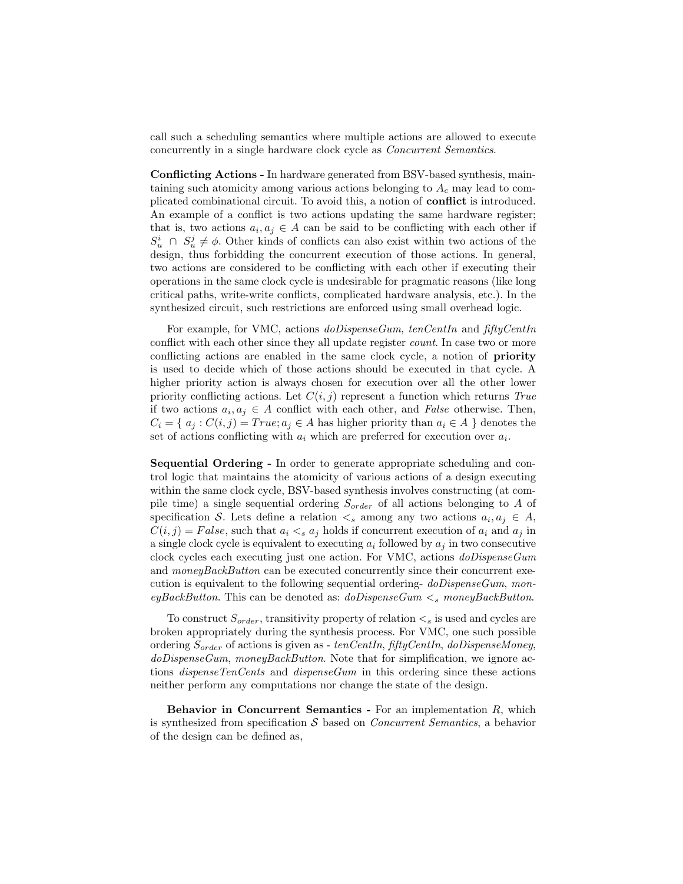call such a scheduling semantics where multiple actions are allowed to execute concurrently in a single hardware clock cycle as Concurrent Semantics.

Conflicting Actions - In hardware generated from BSV-based synthesis, maintaining such atomicity among various actions belonging to  $A_c$  may lead to complicated combinational circuit. To avoid this, a notion of conflict is introduced. An example of a conflict is two actions updating the same hardware register; that is, two actions  $a_i, a_j \in A$  can be said to be conflicting with each other if  $S_u^i \cap S_u^j \neq \phi$ . Other kinds of conflicts can also exist within two actions of the design, thus forbidding the concurrent execution of those actions. In general, two actions are considered to be conflicting with each other if executing their operations in the same clock cycle is undesirable for pragmatic reasons (like long critical paths, write-write conflicts, complicated hardware analysis, etc.). In the synthesized circuit, such restrictions are enforced using small overhead logic.

For example, for VMC, actions *doDispenseGum, tenCentIn* and *fiftyCentIn* conflict with each other since they all update register count. In case two or more conflicting actions are enabled in the same clock cycle, a notion of priority is used to decide which of those actions should be executed in that cycle. A higher priority action is always chosen for execution over all the other lower priority conflicting actions. Let  $C(i, j)$  represent a function which returns True if two actions  $a_i, a_j \in A$  conflict with each other, and False otherwise. Then,  $C_i = \{ a_i : C(i, j) = True; a_j \in A \text{ has higher priority than } a_i \in A \}$  denotes the set of actions conflicting with  $a_i$  which are preferred for execution over  $a_i$ .

Sequential Ordering - In order to generate appropriate scheduling and control logic that maintains the atomicity of various actions of a design executing within the same clock cycle, BSV-based synthesis involves constructing (at compile time) a single sequential ordering  $S_{order}$  of all actions belonging to A of specification S. Lets define a relation  $\lt_s$  among any two actions  $a_i, a_j \in A$ ,  $C(i, j) = False$ , such that  $a_i <_s a_j$  holds if concurrent execution of  $a_i$  and  $a_j$  in a single clock cycle is equivalent to executing  $a_i$  followed by  $a_j$  in two consecutive clock cycles each executing just one action. For VMC, actions doDispenseGum and *moneyBackButton* can be executed concurrently since their concurrent execution is equivalent to the following sequential ordering-  $doDispenseGum$ , moneyBackButton. This can be denoted as:  $doDispenseGum <sub>s</sub> moneyBackButton.$ 

To construct  $S_{order}$ , transitivity property of relation  $\lt_s$  is used and cycles are broken appropriately during the synthesis process. For VMC, one such possible ordering  $S_{order}$  of actions is given as - tenCentIn, fiftyCentIn, doDispenseMoney,  $doDispenseGum$ , moneyBackButton. Note that for simplification, we ignore actions *dispenseTenCents* and *dispenseGum* in this ordering since these actions neither perform any computations nor change the state of the design.

**Behavior in Concurrent Semantics -** For an implementation  $R$ , which is synthesized from specification  $S$  based on *Concurrent Semantics*, a behavior of the design can be defined as,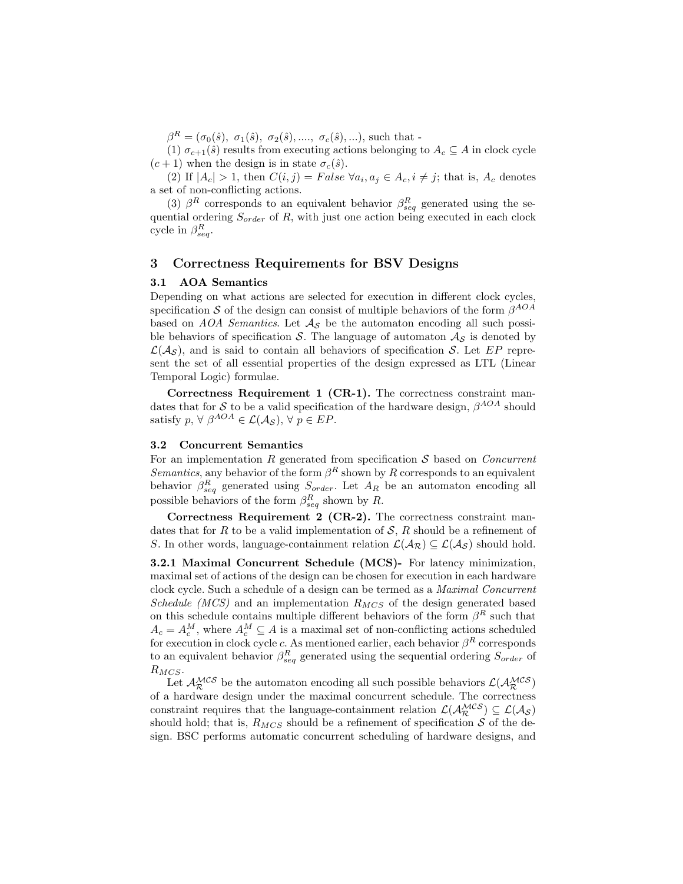$\beta^R = (\sigma_0(\hat{s}), \sigma_1(\hat{s}), \sigma_2(\hat{s}), ..., \sigma_c(\hat{s}), ...)$ , such that -

(1)  $\sigma_{c+1}(\hat{s})$  results from executing actions belonging to  $A_c \subseteq A$  in clock cycle  $(c+1)$  when the design is in state  $\sigma_c(\hat{s})$ .

(2) If  $|A_c| > 1$ , then  $C(i, j) = False \ \forall a_i, a_j \in A_c, i \neq j$ ; that is,  $A_c$  denotes a set of non-conflicting actions.

(3)  $\beta^R$  corresponds to an equivalent behavior  $\beta_{seq}^R$  generated using the sequential ordering  $S_{order}$  of R, with just one action being executed in each clock cycle in  $\beta_{seq}^R$ .

# 3 Correctness Requirements for BSV Designs

## 3.1 AOA Semantics

Depending on what actions are selected for execution in different clock cycles, specification S of the design can consist of multiple behaviors of the form  $\beta^{AOA}$ based on AOA Semantics. Let  $\mathcal{A}_{\mathcal{S}}$  be the automaton encoding all such possible behaviors of specification S. The language of automaton  $A_{\mathcal{S}}$  is denoted by  $\mathcal{L}(\mathcal{A}_{\mathcal{S}})$ , and is said to contain all behaviors of specification S. Let EP represent the set of all essential properties of the design expressed as LTL (Linear Temporal Logic) formulae.

Correctness Requirement 1 (CR-1). The correctness constraint mandates that for S to be a valid specification of the hardware design,  $\beta^{AOA}$  should satisfy  $p, \forall \beta^{AOA} \in \mathcal{L}(\mathcal{A}_{\mathcal{S}}), \forall p \in EP$ .

#### 3.2 Concurrent Semantics

For an implementation  $R$  generated from specification  $S$  based on *Concurrent* Semantics, any behavior of the form  $\beta^R$  shown by R corresponds to an equivalent behavior  $\beta_{seq}^R$  generated using  $S_{order}$ . Let  $A_R$  be an automaton encoding all possible behaviors of the form  $\beta_{seq}^R$  shown by R.

Correctness Requirement 2 (CR-2). The correctness constraint mandates that for R to be a valid implementation of S, R should be a refinement of S. In other words, language-containment relation  $\mathcal{L}(\mathcal{A}_{\mathcal{R}}) \subseteq \mathcal{L}(\mathcal{A}_{\mathcal{S}})$  should hold.

3.2.1 Maximal Concurrent Schedule (MCS)- For latency minimization, maximal set of actions of the design can be chosen for execution in each hardware clock cycle. Such a schedule of a design can be termed as a Maximal Concurrent Schedule (MCS) and an implementation  $R_{MCS}$  of the design generated based on this schedule contains multiple different behaviors of the form  $\beta^R$  such that  $A_c = A_c^M$ , where  $A_c^M \subseteq A$  is a maximal set of non-conflicting actions scheduled for execution in clock cycle c. As mentioned earlier, each behavior  $\beta^R$  corresponds to an equivalent behavior  $\beta_{seq}^R$  generated using the sequential ordering  $S_{order}$  of  $R_{MCS}$ .

Let  $\mathcal{A}^{\mathcal{MCS}}_{\mathcal{R}}$  be the automaton encoding all such possible behaviors  $\mathcal{L}(\mathcal{A}^{\mathcal{MCS}}_{\mathcal{R}})$ of a hardware design under the maximal concurrent schedule. The correctness constraint requires that the language-containment relation  $\mathcal{L}(\mathcal{A}_{\mathcal{R}}^{\mathcal{MCS}}) \subseteq \mathcal{L}(\mathcal{A}_{\mathcal{S}})$ should hold; that is,  $R_{MCS}$  should be a refinement of specification S of the design. BSC performs automatic concurrent scheduling of hardware designs, and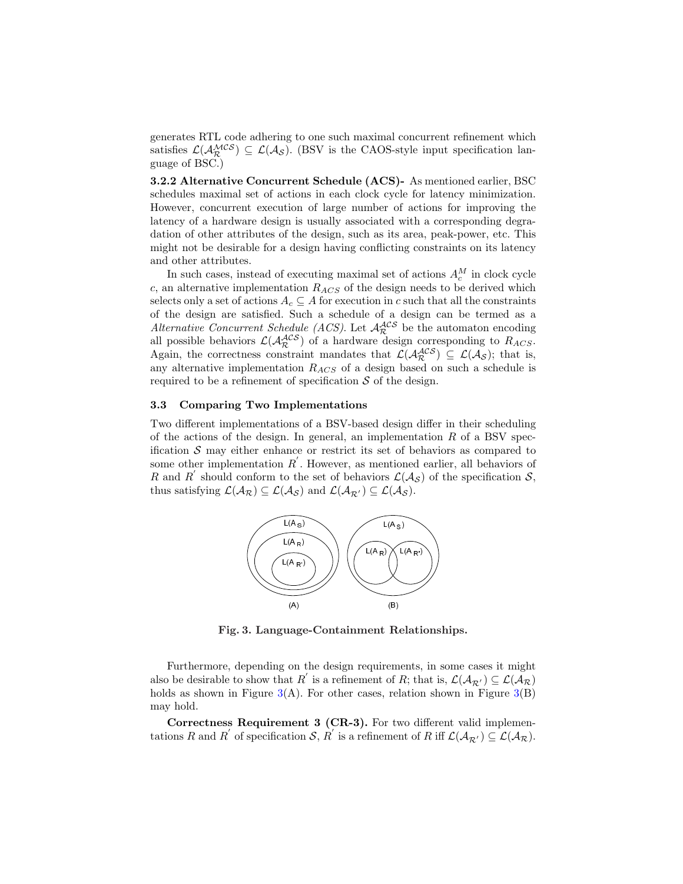generates RTL code adhering to one such maximal concurrent refinement which satisfies  $\mathcal{L}(\mathcal{A}_{\mathcal{R}}^{\mathcal{MCS}}) \subseteq \mathcal{L}(\mathcal{A}_{\mathcal{S}})$ . (BSV is the CAOS-style input specification language of BSC.)

3.2.2 Alternative Concurrent Schedule (ACS)- As mentioned earlier, BSC schedules maximal set of actions in each clock cycle for latency minimization. However, concurrent execution of large number of actions for improving the latency of a hardware design is usually associated with a corresponding degradation of other attributes of the design, such as its area, peak-power, etc. This might not be desirable for a design having conflicting constraints on its latency and other attributes.

In such cases, instead of executing maximal set of actions  $A_c^M$  in clock cycle  $c$ , an alternative implementation  $R_{ACS}$  of the design needs to be derived which selects only a set of actions  $A_c \subseteq A$  for execution in c such that all the constraints of the design are satisfied. Such a schedule of a design can be termed as a Alternative Concurrent Schedule (ACS). Let  $\mathcal{A}^{\mathcal{A}\mathcal{C}\mathcal{S}}_{\mathcal{R}}$  be the automaton encoding all possible behaviors  $\mathcal{L}(\mathcal{A}^{ACS}_{\mathcal{R}})$  of a hardware design corresponding to  $R_{ACS}$ . Again, the correctness constraint mandates that  $\mathcal{L}(\mathcal{A}^{ACS}) \subseteq \mathcal{L}(\mathcal{A}_S)$ ; that is, any alternative implementation  $R_{ACS}$  of a design based on such a schedule is required to be a refinement of specification  $S$  of the design.

### 3.3 Comparing Two Implementations

Two different implementations of a BSV-based design differ in their scheduling of the actions of the design. In general, an implementation  $R$  of a BSV specification  $\mathcal S$  may either enhance or restrict its set of behaviors as compared to some other implementation  $R'$ . However, as mentioned earlier, all behaviors of R and R' should conform to the set of behaviors  $\mathcal{L}(\mathcal{A}_{\mathcal{S}})$  of the specification S, thus satisfying  $\mathcal{L}(\mathcal{A}_{\mathcal{R}}) \subseteq \mathcal{L}(\mathcal{A}_{\mathcal{S}})$  and  $\mathcal{L}(\mathcal{A}_{\mathcal{R}'}) \subseteq \mathcal{L}(\mathcal{A}_{\mathcal{S}})$ .



Fig. 3. Language-Containment Relationships.

Furthermore, depending on the design requirements, in some cases it might also be desirable to show that R' is a refinement of R; that is,  $\mathcal{L}(\mathcal{A}_{\mathcal{R}'}) \subseteq \mathcal{L}(\mathcal{A}_{\mathcal{R}})$ holds as shown in Figure  $3(A)$ . For other cases, relation shown in Figure  $3(B)$ may hold.

Correctness Requirement 3 (CR-3). For two different valid implementations R and R' of specification S, R' is a refinement of R iff  $\mathcal{L}(\mathcal{A}_{\mathcal{R}'}) \subseteq \mathcal{L}(\mathcal{A}_{\mathcal{R}})$ .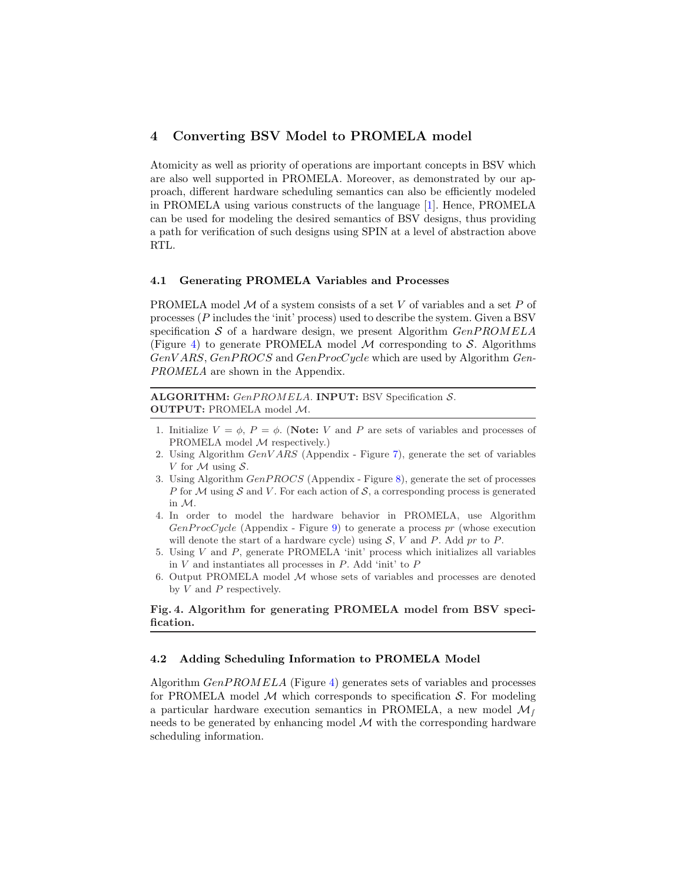# 4 Converting BSV Model to PROMELA model

Atomicity as well as priority of operations are important concepts in BSV which are also well supported in PROMELA. Moreover, as demonstrated by our approach, different hardware scheduling semantics can also be efficiently modeled in PROMELA using various constructs of the language [1]. Hence, PROMELA can be used for modeling the desired semantics of BSV designs, thus providing a path for verification of such designs using SPIN at a level of abstraction above RTL.

#### 4.1 Generating PROMELA Variables and Processes

PROMELA model  $M$  of a system consists of a set V of variables and a set P of processes (P includes the 'init' process) used to describe the system. Given a BSV specification  $S$  of a hardware design, we present Algorithm  $GenPROMELA$ (Figure 4) to generate PROMELA model  $M$  corresponding to  $S$ . Algorithms  $GenVARS, GenPROCS$  and  $GenProcCycle$  which are used by Algorithm  $Gen-$ PROMELA are shown in the Appendix.

ALGORITHM:  $GenPROMELA$ . INPUT: BSV Specification  $S$ . OUTPUT: PROMELA model M.

- 1. Initialize  $V = \phi$ ,  $P = \phi$ . (Note: V and P are sets of variables and processes of PROMELA model  $M$  respectively.)
- 2. Using Algorithm  $GenVARS$  (Appendix Figure 7), generate the set of variables V for  $M$  using  $S$ .
- 3. Using Algorithm GenPROCS (Appendix Figure 8), generate the set of processes P for M using S and V. For each action of S, a corresponding process is generated in M.
- 4. In order to model the hardware behavior in PROMELA, use Algorithm  $GenProcCycle$  (Appendix - Figure 9) to generate a process  $pr$  (whose execution will denote the start of a hardware cycle) using  $S$ ,  $V$  and  $P$ . Add  $pr$  to  $P$ .
- 5. Using V and P, generate PROMELA 'init' process which initializes all variables in  $V$  and instantiates all processes in  $P$ . Add 'init' to  $P$
- 6. Output PROMELA model  $M$  whose sets of variables and processes are denoted by  $V$  and  $P$  respectively.

Fig. 4. Algorithm for generating PROMELA model from BSV specification.

# 4.2 Adding Scheduling Information to PROMELA Model

Algorithm  $GenPROMELA$  (Figure 4) generates sets of variables and processes for PROMELA model  $M$  which corresponds to specification  $S$ . For modeling a particular hardware execution semantics in PROMELA, a new model  $\mathcal{M}_f$ needs to be generated by enhancing model  $M$  with the corresponding hardware scheduling information.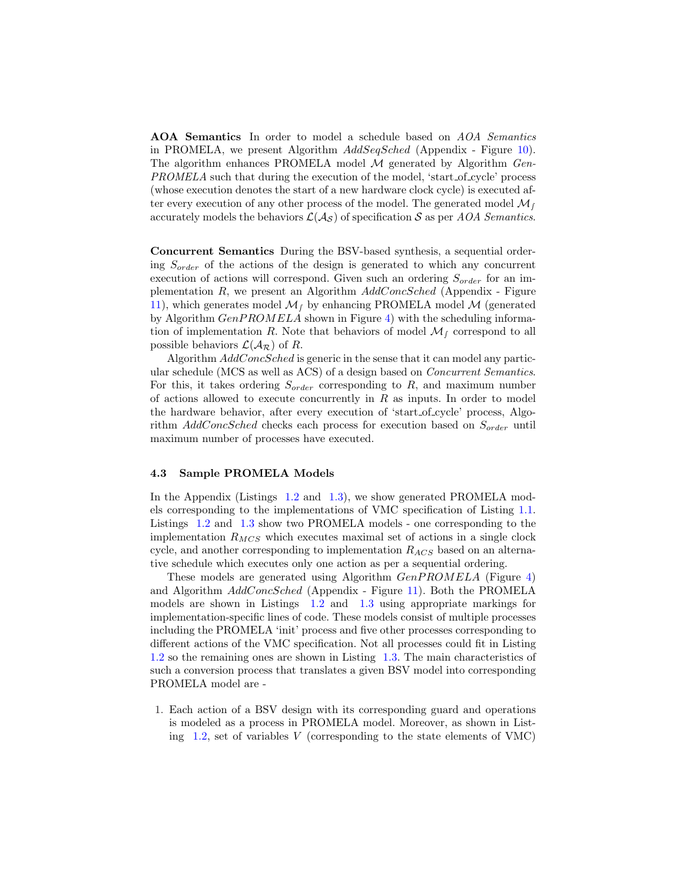AOA Semantics In order to model a schedule based on AOA Semantics in PROMELA, we present Algorithm  $AddSeqSched$  (Appendix - Figure 10). The algorithm enhances PROMELA model  $M$  generated by Algorithm Gen-PROMELA such that during the execution of the model, 'start of cycle' process (whose execution denotes the start of a new hardware clock cycle) is executed after every execution of any other process of the model. The generated model  $\mathcal{M}_f$ accurately models the behaviors  $\mathcal{L}(\mathcal{A}_{\mathcal{S}})$  of specification S as per AOA Semantics.

Concurrent Semantics During the BSV-based synthesis, a sequential ordering  $S_{order}$  of the actions of the design is generated to which any concurrent execution of actions will correspond. Given such an ordering  $S_{order}$  for an implementation R, we present an Algorithm AddConcSched (Appendix - Figure 11), which generates model  $\mathcal{M}_{\ell}$  by enhancing PROMELA model  $\mathcal{M}$  (generated by Algorithm  $GenPROMELA$  shown in Figure 4) with the scheduling information of implementation R. Note that behaviors of model  $\mathcal{M}_f$  correspond to all possible behaviors  $\mathcal{L}(\mathcal{A}_{\mathcal{R}})$  of R.

Algorithm AddConcSched is generic in the sense that it can model any particular schedule (MCS as well as ACS) of a design based on Concurrent Semantics. For this, it takes ordering  $S_{order}$  corresponding to R, and maximum number of actions allowed to execute concurrently in  $R$  as inputs. In order to model the hardware behavior, after every execution of 'start\_of\_cycle' process, Algorithm  $AddConcSched$  checks each process for execution based on  $S_{order}$  until maximum number of processes have executed.

#### 4.3 Sample PROMELA Models

In the Appendix (Listings 1.2 and 1.3), we show generated PROMELA models corresponding to the implementations of VMC specification of Listing 1.1. Listings 1.2 and 1.3 show two PROMELA models - one corresponding to the implementation  $R_{MCS}$  which executes maximal set of actions in a single clock cycle, and another corresponding to implementation  $R_{ACS}$  based on an alternative schedule which executes only one action as per a sequential ordering.

These models are generated using Algorithm  $GenPROMELA$  (Figure 4) and Algorithm AddConcSched (Appendix - Figure 11). Both the PROMELA models are shown in Listings 1.2 and 1.3 using appropriate markings for implementation-specific lines of code. These models consist of multiple processes including the PROMELA 'init' process and five other processes corresponding to different actions of the VMC specification. Not all processes could fit in Listing 1.2 so the remaining ones are shown in Listing 1.3. The main characteristics of such a conversion process that translates a given BSV model into corresponding PROMELA model are -

1. Each action of a BSV design with its corresponding guard and operations is modeled as a process in PROMELA model. Moreover, as shown in Listing  $1.2$ , set of variables V (corresponding to the state elements of VMC)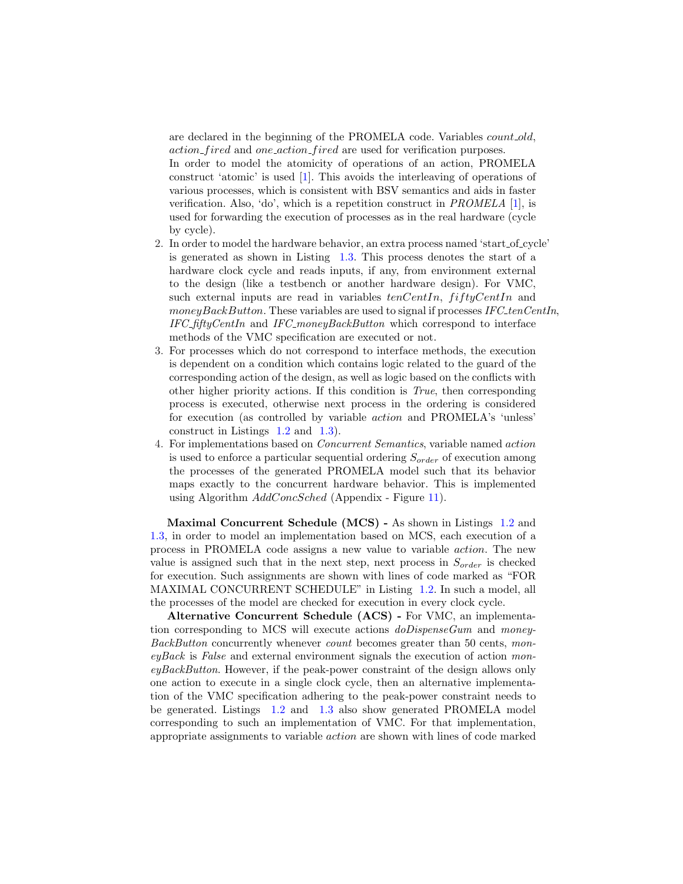are declared in the beginning of the PROMELA code. Variables  $count\_old$ , action fired and one action fired are used for verification purposes.

In order to model the atomicity of operations of an action, PROMELA construct 'atomic' is used [1]. This avoids the interleaving of operations of various processes, which is consistent with BSV semantics and aids in faster verification. Also, 'do', which is a repetition construct in  $PROMELA$  [1], is used for forwarding the execution of processes as in the real hardware (cycle by cycle).

- 2. In order to model the hardware behavior, an extra process named 'start of cycle' is generated as shown in Listing 1.3. This process denotes the start of a hardware clock cycle and reads inputs, if any, from environment external to the design (like a testbench or another hardware design). For VMC, such external inputs are read in variables  $tenCentIn$ ,  $fittvCentIn$  and moneyBackButton. These variables are used to signal if processes  $IFC\text{-}tenCentIn$ ,  $IFC_fftyCentIn$  and  $IFC_moneyBackButton$  which correspond to interface methods of the VMC specification are executed or not.
- 3. For processes which do not correspond to interface methods, the execution is dependent on a condition which contains logic related to the guard of the corresponding action of the design, as well as logic based on the conflicts with other higher priority actions. If this condition is True, then corresponding process is executed, otherwise next process in the ordering is considered for execution (as controlled by variable action and PROMELA's 'unless' construct in Listings 1.2 and 1.3).
- 4. For implementations based on Concurrent Semantics, variable named action is used to enforce a particular sequential ordering  $S_{order}$  of execution among the processes of the generated PROMELA model such that its behavior maps exactly to the concurrent hardware behavior. This is implemented using Algorithm AddConcSched (Appendix - Figure 11).

Maximal Concurrent Schedule (MCS) - As shown in Listings 1.2 and 1.3, in order to model an implementation based on MCS, each execution of a process in PROMELA code assigns a new value to variable action. The new value is assigned such that in the next step, next process in  $S_{order}$  is checked for execution. Such assignments are shown with lines of code marked as "FOR MAXIMAL CONCURRENT SCHEDULE" in Listing 1.2. In such a model, all the processes of the model are checked for execution in every clock cycle.

Alternative Concurrent Schedule (ACS) - For VMC, an implementation corresponding to MCS will execute actions doDispenseGum and money-BackButton concurrently whenever count becomes greater than 50 cents, mon $eyBack$  is False and external environment signals the execution of action moneyBackButton. However, if the peak-power constraint of the design allows only one action to execute in a single clock cycle, then an alternative implementation of the VMC specification adhering to the peak-power constraint needs to be generated. Listings 1.2 and 1.3 also show generated PROMELA model corresponding to such an implementation of VMC. For that implementation, appropriate assignments to variable action are shown with lines of code marked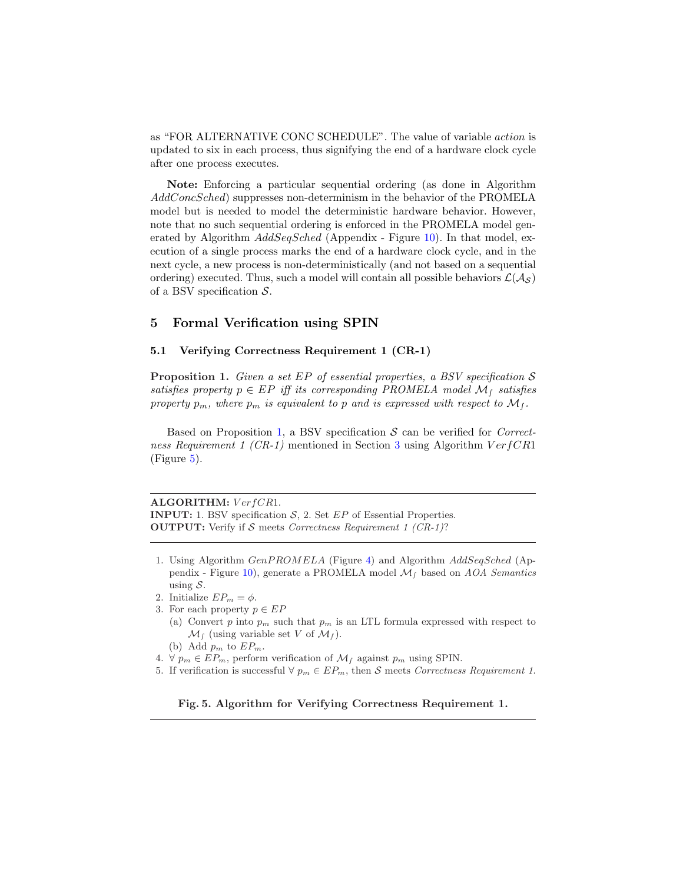as "FOR ALTERNATIVE CONC SCHEDULE". The value of variable action is updated to six in each process, thus signifying the end of a hardware clock cycle after one process executes.

Note: Enforcing a particular sequential ordering (as done in Algorithm AddConcSched) suppresses non-determinism in the behavior of the PROMELA model but is needed to model the deterministic hardware behavior. However, note that no such sequential ordering is enforced in the PROMELA model generated by Algorithm  $AddSeqSched$  (Appendix - Figure 10). In that model, execution of a single process marks the end of a hardware clock cycle, and in the next cycle, a new process is non-deterministically (and not based on a sequential ordering) executed. Thus, such a model will contain all possible behaviors  $\mathcal{L}(\mathcal{A}_S)$ of a BSV specification  $S$ .

## 5 Formal Verification using SPIN

## 5.1 Verifying Correctness Requirement 1 (CR-1)

**Proposition 1.** Given a set EP of essential properties, a BSV specification  $S$ satisfies property  $p \in EP$  iff its corresponding PROMELA model  $\mathcal{M}_{\perp}$  satisfies property  $p_m$ , where  $p_m$  is equivalent to p and is expressed with respect to  $\mathcal{M}_{\mathfrak{f}}$ .

Based on Proposition 1, a BSV specification  $S$  can be verified for *Correct*ness Requirement 1 (CR-1) mentioned in Section 3 using Algorithm  $VerfCR1$ (Figure 5).

ALGORITHM: VerfCR1. **INPUT:** 1. BSV specification  $S$ , 2. Set  $EP$  of Essential Properties. OUTPUT: Verify if S meets Correctness Requirement 1 (CR-1)?

- 1. Using Algorithm  $GenPROMELA$  (Figure 4) and Algorithm  $AddSeqSched$  (Appendix - Figure 10), generate a PROMELA model M<sup>∫</sup> based on AOA Semantics using  $S$ .
- 2. Initialize  $EP_m = \phi$ .
- 3. For each property  $p \in EP$ 
	- (a) Convert p into  $p_m$  such that  $p_m$  is an LTL formula expressed with respect to  $\mathcal{M}_f$  (using variable set V of  $\mathcal{M}_f$ ).
	- (b) Add  $p_m$  to  $EP_m$ .
- 4.  $\forall p_m \in EP_m$ , perform verification of  $\mathcal{M}_f$  against  $p_m$  using SPIN.
- 5. If verification is successful  $\forall p_m \in EP_m$ , then S meets Correctness Requirement 1.

Fig. 5. Algorithm for Verifying Correctness Requirement 1.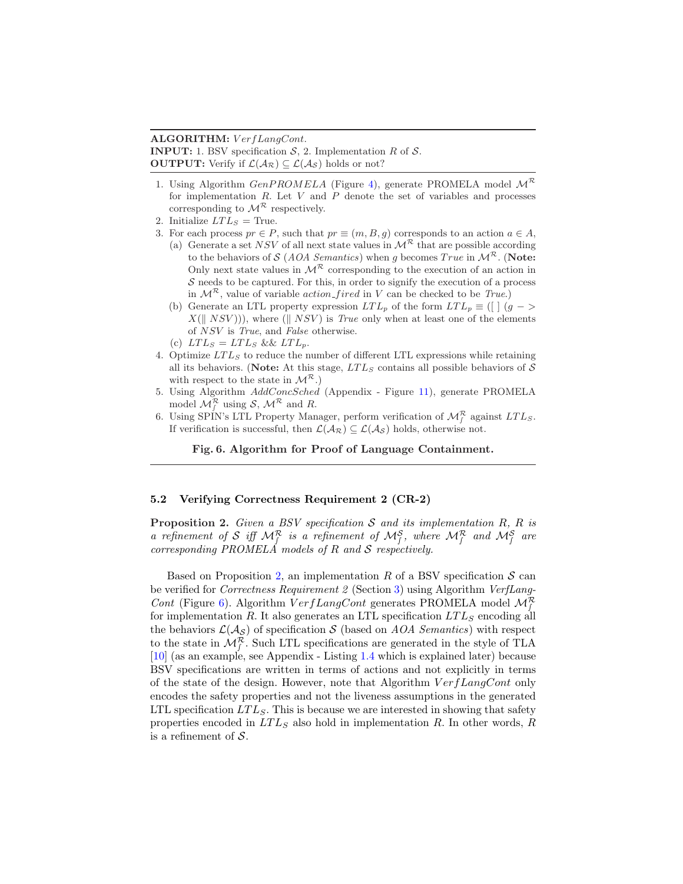## ALGORITHM: VerfLangCont. **INPUT:** 1. BSV specification  $S$ , 2. Implementation  $R$  of  $S$ . **OUTPUT:** Verify if  $\mathcal{L}(\mathcal{A}_{\mathcal{R}}) \subseteq \mathcal{L}(\mathcal{A}_{\mathcal{S}})$  holds or not?

- 1. Using Algorithm  $GenPROMELA$  (Figure 4), generate PROMELA model  $\mathcal{M}^{\mathcal{R}}$ for implementation  $R$ . Let  $V$  and  $P$  denote the set of variables and processes corresponding to  $\mathcal{M}^{\mathcal{R}}$  respectively.
- 2. Initialize  $LTL_S = True$ .
- 3. For each process  $pr \in P$ , such that  $pr \equiv (m, B, g)$  corresponds to an action  $a \in A$ ,
	- (a) Generate a set NSV of all next state values in  $\mathcal{M}^{\mathcal{R}}$  that are possible according to the behaviors of S (AOA Semantics) when g becomes True in  $\mathcal{M}^{\mathcal{R}}$ . (Note: Only next state values in  $\mathcal{M}^{\mathcal{R}}$  corresponding to the execution of an action in  $S$  needs to be captured. For this, in order to signify the execution of a process in  $\mathcal{M}^{\mathcal{R}}$ , value of variable *action\_fired* in V can be checked to be *True*.)
	- (b) Generate an LTL property expression  $LTL_p$  of the form  $LTL_p \equiv ([] (g \rangle$  $X(\parallel NSV$ )), where ( $\parallel NSV$ ) is *True* only when at least one of the elements of NSV is True, and False otherwise.
	- (c)  $LTL_S = LTL_S$  &&  $LTL_p$ .
- 4. Optimize  $LTL_S$  to reduce the number of different LTL expressions while retaining all its behaviors. (Note: At this stage,  $LTL_S$  contains all possible behaviors of S with respect to the state in  $\mathcal{M}^{\mathcal{R}}$ .)
- 5. Using Algorithm AddConcSched (Appendix Figure 11), generate PROMELA model  $\mathcal{M}_f^{\mathcal{R}}$  using  $\mathcal{S}, \mathcal{M}^{\mathcal{R}}$  and  $R$ .
- 6. Using SPIN's LTL Property Manager, perform verification of  $\mathcal{M}_f^{\mathcal{R}}$  against  $LTL_S$ . If verification is successful, then  $\mathcal{L}(\mathcal{A}_{\mathcal{R}}) \subseteq \mathcal{L}(\mathcal{A}_{\mathcal{S}})$  holds, otherwise not.

Fig. 6. Algorithm for Proof of Language Containment.

## 5.2 Verifying Correctness Requirement 2 (CR-2)

**Proposition 2.** Given a BSV specification  $S$  and its implementation  $R$ ,  $R$  is a refinement of S iff  $\mathcal{M}_{\int}^{\mathcal{R}}$  is a refinement of  $\mathcal{M}_{\int}^{\mathcal{S}}$ , where  $\mathcal{M}_{\int}^{\mathcal{R}}$  and  $\mathcal{M}_{\int}^{\mathcal{S}}$  are corresponding PROMELA models of R and S respectively.

Based on Proposition 2, an implementation R of a BSV specification  $S$  can be verified for Correctness Requirement 2 (Section 3) using Algorithm VerfLang-*Cont* (Figure 6). Algorithm  $VerflangCont$  generates PROMELA model  $\mathcal{M}_f^R$ for implementation R. It also generates an LTL specification  $LTL_S$  encoding all the behaviors  $\mathcal{L}(\mathcal{A}_{\mathcal{S}})$  of specification S (based on AOA Semantics) with respect to the state in  $\mathcal{M}_{\mathcal{L}}^{\mathcal{R}}$ . Such LTL specifications are generated in the style of TLA [10] (as an example, see Appendix - Listing 1.4 which is explained later) because BSV specifications are written in terms of actions and not explicitly in terms of the state of the design. However, note that Algorithm  $VerfLangCont$  only encodes the safety properties and not the liveness assumptions in the generated LTL specification  $LTL<sub>S</sub>$ . This is because we are interested in showing that safety properties encoded in  $LTL_S$  also hold in implementation R. In other words, R is a refinement of  $S$ .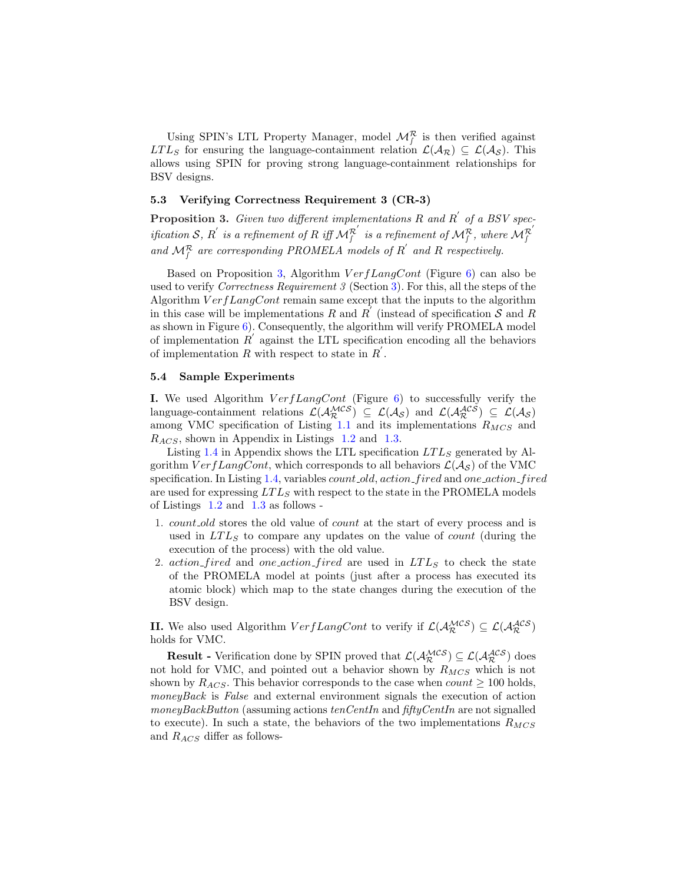Using SPIN's LTL Property Manager, model  $\mathcal{M}^{\mathcal{R}}_f$  is then verified against  $LTL_S$  for ensuring the language-containment relation  $\mathcal{L}(\mathcal{A}_{\mathcal{R}}) \subseteq \mathcal{L}(\mathcal{A}_{\mathcal{S}})$ . This allows using SPIN for proving strong language-containment relationships for BSV designs.

#### 5.3 Verifying Correctness Requirement 3 (CR-3)

**Proposition 3.** Given two different implementations R and R' of a BSV specification S, R' is a refinement of R iff  $\mathcal{M}^{\mathcal{R}'}_{\mathsf{f}}$  $_{\int}^{\mathcal{R}}$  is a refinement of  $\mathcal{M}^{\mathcal{R}}_{\int}$ , where  $\mathcal{M}^{\mathcal{R}}_{\int}$ and  $\mathcal{M}_f^{\mathcal{R}}$  are corresponding PROMELA models of  $R^{'}$  and  $R$  respectively.

Based on Proposition 3, Algorithm  $VerflangCont$  (Figure 6) can also be used to verify Correctness Requirement 3 (Section 3). For this, all the steps of the Algorithm  $VerflangCont$  remain same except that the inputs to the algorithm in this case will be implementations R and  $\overrightarrow{R}$  (instead of specification  $\overrightarrow{S}$  and R as shown in Figure  $6$ ). Consequently, the algorithm will verify PROMELA model of implementation  $R'$  against the LTL specification encoding all the behaviors of implementation R with respect to state in  $R'$ .

## 5.4 Sample Experiments

I. We used Algorithm  $VerflangCont$  (Figure 6) to successfully verify the language-containment relations  $\mathcal{L}(\mathcal{A}^{\mathcal{MCS}}_{\mathcal{R}}) \subseteq \mathcal{L}(\mathcal{A}_{\mathcal{S}})$  and  $\mathcal{L}(\mathcal{A}^{\mathcal{ACS}}_{\mathcal{R}}) \subseteq \mathcal{L}(\mathcal{A}_{\mathcal{S}})$ among VMC specification of Listing 1.1 and its implementations  $R_{MCS}$  and  $R_{ACS}$ , shown in Appendix in Listings 1.2 and 1.3.

Listing 1.4 in Appendix shows the LTL specification  $LTL_S$  generated by Algorithm  $VerflangCont$ , which corresponds to all behaviors  $\mathcal{L}(\mathcal{A}_{\mathcal{S}})$  of the VMC specification. In Listing 1.4, variables *count\_old, action\_fired* and *one\_action\_fired* are used for expressing  $LTL_S$  with respect to the state in the PROMELA models of Listings  $1.2$  and  $1.3$  as follows -

- 1. *count old* stores the old value of *count* at the start of every process and is used in  $LTL<sub>S</sub>$  to compare any updates on the value of *count* (during the execution of the process) with the old value.
- 2. action-fired and one action-fired are used in  $LTL_S$  to check the state of the PROMELA model at points (just after a process has executed its atomic block) which map to the state changes during the execution of the BSV design.

**II.** We also used Algorithm  $VerflangCont$  to verify if  $\mathcal{L}(\mathcal{A}_R^{MCS}) \subseteq \mathcal{L}(\mathcal{A}_R^{ACS})$ holds for VMC.

**Result** - Verification done by SPIN proved that  $\mathcal{L}(\mathcal{A}_{\mathcal{R}}^{\mathcal{MCS}}) \subseteq \mathcal{L}(\mathcal{A}_{\mathcal{R}}^{\mathcal{ACS}})$  does not hold for VMC, and pointed out a behavior shown by  $R_{MCS}$  which is not shown by  $R_{ACS}$ . This behavior corresponds to the case when *count*  $\geq 100$  holds, moneyBack is False and external environment signals the execution of action moneyBackButton (assuming actions  $tenCentn$  and fiftyCentIn are not signalled to execute). In such a state, the behaviors of the two implementations  $R_{MCS}$ and  $R_{ACS}$  differ as follows-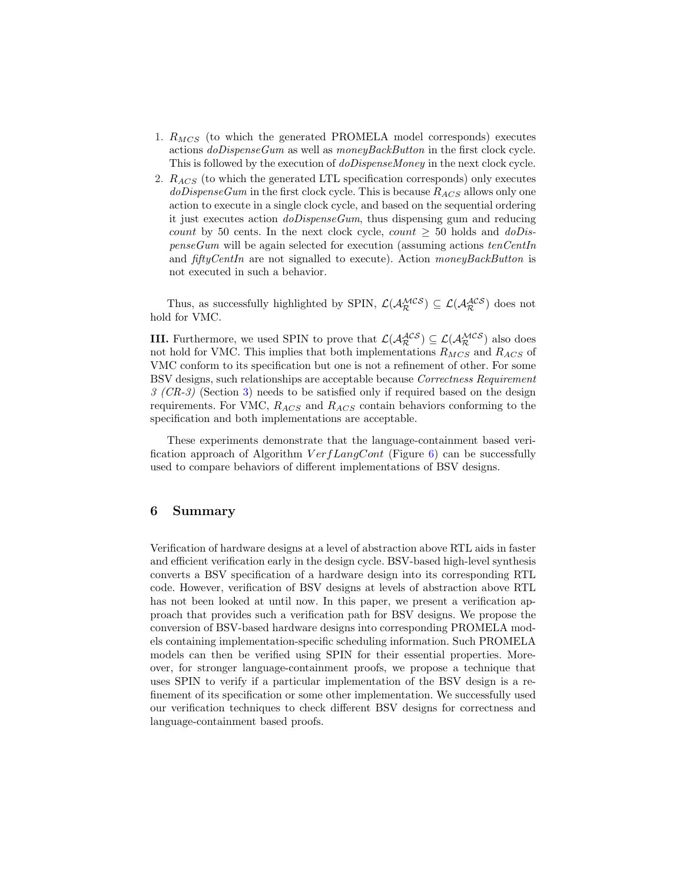- 1.  $R_{MCS}$  (to which the generated PROMELA model corresponds) executes actions doDispenseGum as well as moneyBackButton in the first clock cycle. This is followed by the execution of *doDispenseMoney* in the next clock cycle.
- 2.  $R_{ACS}$  (to which the generated LTL specification corresponds) only executes  $doDispenseGum$  in the first clock cycle. This is because  $R_{ACS}$  allows only one action to execute in a single clock cycle, and based on the sequential ordering it just executes action doDispenseGum, thus dispensing gum and reducing count by 50 cents. In the next clock cycle, count  $\geq$  50 holds and doDis $penseGum$  will be again selected for execution (assuming actions  $tenCentIn$ and  $\frac{fiftyCentIn}{fiftyCentIn}$  are not signalled to execute). Action moneyBackButton is not executed in such a behavior.

Thus, as successfully highlighted by SPIN,  $\mathcal{L}(\mathcal{A}^{\mathcal{MCS}}_{\mathcal{R}}) \subseteq \mathcal{L}(\mathcal{A}^{\mathcal{ACS}}_{\mathcal{R}})$  does not hold for VMC.

**III.** Furthermore, we used SPIN to prove that  $\mathcal{L}(\mathcal{A}^{\mathcal{ACS}}_{\mathcal{R}}) \subseteq \mathcal{L}(\mathcal{A}^{\mathcal{MCS}}_{\mathcal{R}})$  also does not hold for VMC. This implies that both implementations  $R_{MCS}$  and  $R_{ACS}$  of VMC conform to its specification but one is not a refinement of other. For some BSV designs, such relationships are acceptable because Correctness Requirement  $3$  (CR-3) (Section 3) needs to be satisfied only if required based on the design requirements. For VMC,  $R_{ACS}$  and  $R_{ACS}$  contain behaviors conforming to the specification and both implementations are acceptable.

These experiments demonstrate that the language-containment based verification approach of Algorithm  $VerflangCont$  (Figure 6) can be successfully used to compare behaviors of different implementations of BSV designs.

## 6 Summary

Verification of hardware designs at a level of abstraction above RTL aids in faster and efficient verification early in the design cycle. BSV-based high-level synthesis converts a BSV specification of a hardware design into its corresponding RTL code. However, verification of BSV designs at levels of abstraction above RTL has not been looked at until now. In this paper, we present a verification approach that provides such a verification path for BSV designs. We propose the conversion of BSV-based hardware designs into corresponding PROMELA models containing implementation-specific scheduling information. Such PROMELA models can then be verified using SPIN for their essential properties. Moreover, for stronger language-containment proofs, we propose a technique that uses SPIN to verify if a particular implementation of the BSV design is a refinement of its specification or some other implementation. We successfully used our verification techniques to check different BSV designs for correctness and language-containment based proofs.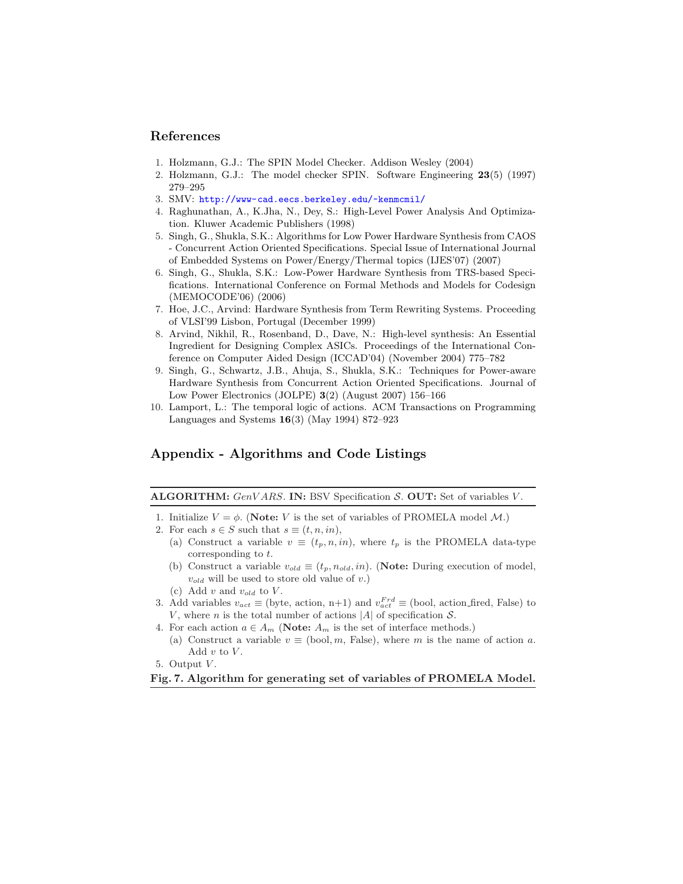# References

- 1. Holzmann, G.J.: The SPIN Model Checker. Addison Wesley (2004)
- 2. Holzmann, G.J.: The model checker SPIN. Software Engineering 23(5) (1997) 279–295
- 3. SMV: http://www-cad.eecs.berkeley.edu/~kenmcmil/
- 4. Raghunathan, A., K.Jha, N., Dey, S.: High-Level Power Analysis And Optimization. Kluwer Academic Publishers (1998)
- 5. Singh, G., Shukla, S.K.: Algorithms for Low Power Hardware Synthesis from CAOS - Concurrent Action Oriented Specifications. Special Issue of International Journal of Embedded Systems on Power/Energy/Thermal topics (IJES'07) (2007)
- 6. Singh, G., Shukla, S.K.: Low-Power Hardware Synthesis from TRS-based Specifications. International Conference on Formal Methods and Models for Codesign (MEMOCODE'06) (2006)
- 7. Hoe, J.C., Arvind: Hardware Synthesis from Term Rewriting Systems. Proceeding of VLSI'99 Lisbon, Portugal (December 1999)
- 8. Arvind, Nikhil, R., Rosenband, D., Dave, N.: High-level synthesis: An Essential Ingredient for Designing Complex ASICs. Proceedings of the International Conference on Computer Aided Design (ICCAD'04) (November 2004) 775–782
- 9. Singh, G., Schwartz, J.B., Ahuja, S., Shukla, S.K.: Techniques for Power-aware Hardware Synthesis from Concurrent Action Oriented Specifications. Journal of Low Power Electronics (JOLPE) 3(2) (August 2007) 156–166
- 10. Lamport, L.: The temporal logic of actions. ACM Transactions on Programming Languages and Systems 16(3) (May 1994) 872–923

# Appendix - Algorithms and Code Listings

#### ALGORITHM:  $GenVARS$ . IN: BSV Specification  $S$ . OUT: Set of variables  $V$ .

- 1. Initialize  $V = \phi$ . (Note: V is the set of variables of PROMELA model M.)
- 2. For each  $s \in S$  such that  $s \equiv (t, n, in)$ ,
	- (a) Construct a variable  $v \equiv (t_p, n, in)$ , where  $t_p$  is the PROMELA data-type corresponding to t.
	- (b) Construct a variable  $v_{old} \equiv (t_p, n_{old}, in)$ . (Note: During execution of model,  $v_{old}$  will be used to store old value of v.)
	- (c) Add  $v$  and  $v_{old}$  to  $V$ .
- 3. Add variables  $v_{act} \equiv$  (byte, action, n+1) and  $v_{act}^{Frd} \equiv$  (bool, action fired, False) to V, where n is the total number of actions |A| of specification  $S$ .
- 4. For each action  $a \in A_m$  (Note:  $A_m$  is the set of interface methods.)
- (a) Construct a variable  $v \equiv$  (bool, m, False), where m is the name of action a. Add  $v$  to  $V$ .
- 5. Output  $V$ .

#### Fig. 7. Algorithm for generating set of variables of PROMELA Model.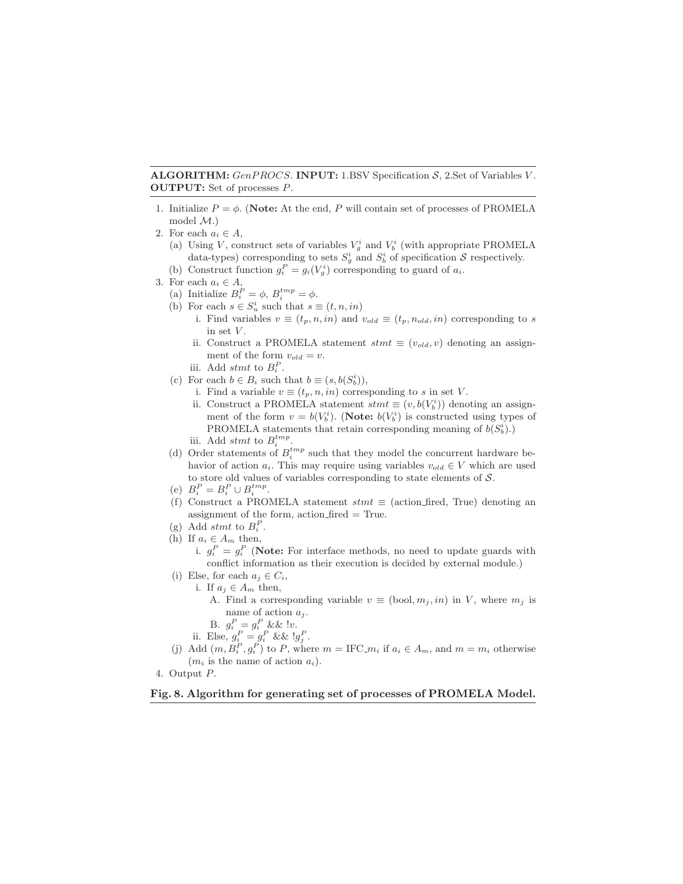ALGORITHM:  $GenPROCS$ . INPUT: 1.BSV Specification  $S$ , 2.Set of Variables  $V$ . OUTPUT: Set of processes P.

- 1. Initialize  $P = \phi$ . (Note: At the end, P will contain set of processes of PROMELA model  $\mathcal{M}$ .)
- 2. For each  $a_i \in A$ ,
	- (a) Using V, construct sets of variables  $V_g^i$  and  $V_b^i$  (with appropriate PROMELA data-types) corresponding to sets  $S_g^i$  and  $S_b^i$  of specification S respectively.
	- (b) Construct function  $g_i^P = g_i(V_g^i)$  corresponding to guard of  $a_i$ .
- 3. For each  $a_i \in A$ ,
	- (a) Initialize  $B_i^P = \phi$ ,  $B_i^{tmp} = \phi$ .
	- (b) For each  $s \in S_u^i$  such that  $s \equiv (t, n, in)$ 
		- i. Find variables  $v \equiv (t_p, n, in)$  and  $v_{old} \equiv (t_p, n_{old}, in)$  corresponding to s in set  $V$ .
		- ii. Construct a PROMELA statement  $stmt \equiv (v_{old}, v)$  denoting an assignment of the form  $v_{old} = v$ .
		- iii. Add  $s$ *tmt* to  $B_i^P$ .
	- (c) For each  $b \in B_i$  such that  $b \equiv (s, b(S_b^i))$ ,
		- i. Find a variable  $v \equiv (t_p, n, in)$  corresponding to s in set V.
		- ii. Construct a PROMELA statement  $s$ tm $t \equiv (v, b(V_b^i))$  denoting an assignment of the form  $v = b(V_b^i)$ . (Note:  $b(V_b^i)$  is constructed using types of PROMELA statements that retain corresponding meaning of  $b(S_b^i)$ .)

iii. Add stmt to  $B_i^{tmp}$ .

- (d) Order statements of  $B_i^{tmp}$  such that they model the concurrent hardware behavior of action  $a_i$ . This may require using variables  $v_{old} \in V$  which are used to store old values of variables corresponding to state elements of S.
- (e)  $B_i^P = B_i^P \cup B_i^{tmp}$ .
- (f) Construct a PROMELA statement  $s$ tmt  $\equiv$  (action fired, True) denoting an assignment of the form, action  $f_{\text{freq}} = \text{True}$ .
- (g) Add stmt to  $B_i^P$ .
- (h) If  $a_i \in A_m$  then,
	- i.  $g_i^P = g_i^P$  (Note: For interface methods, no need to update guards with conflict information as their execution is decided by external module.)
- (i) Else, for each  $a_j \in C_i$ ,
	- i. If  $a_j \in A_m$  then,
		- A. Find a corresponding variable  $v \equiv (bool, m_j, in)$  in V, where  $m_j$  is name of action  $a_i$ .
	- B.  $g_i^P = g_i^P$  && !v.
	- ii. Else,  $g_i^P = g_i^P$  &&  $!g_j^P$ .
- (j) Add  $(m, B_i^P, g_i^P)$  to P, where  $m = \text{IFC}_m$  if  $a_i \in A_m$ , and  $m = m_i$  otherwise  $(m_i$  is the name of action  $a_i$ ).
- 4. Output P.

## Fig. 8. Algorithm for generating set of processes of PROMELA Model.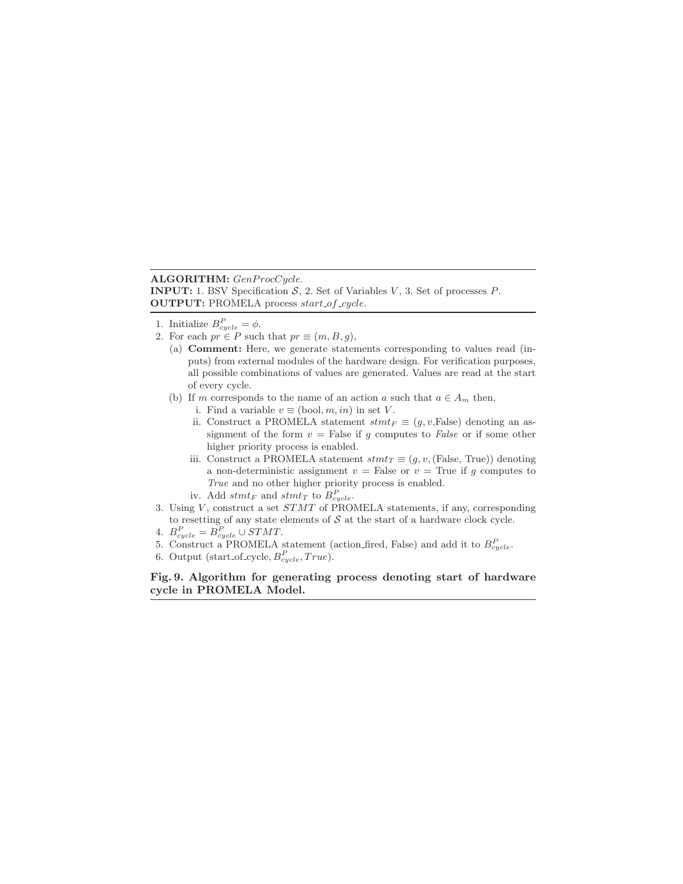## ALGORITHM: GenProcCycle.

**INPUT:** 1. BSV Specification  $S$ , 2. Set of Variables  $V$ , 3. Set of processes  $P$ . OUTPUT: PROMELA process start\_of\_cycle.

1. Initialize  $B_{cycle}^P = \phi$ .

2. For each  $pr \in P$  such that  $pr \equiv (m, B, g)$ ,

- (a) Comment: Here, we generate statements corresponding to values read (inputs) from external modules of the hardware design. For verification purposes, all possible combinations of values are generated. Values are read at the start of every cycle.
- (b) If m corresponds to the name of an action a such that  $a \in A_m$  then,
	- i. Find a variable  $v \equiv (bool, m, in)$  in set V.
	- ii. Construct a PROMELA statement  $stmt_F \equiv (g, v, False)$  denoting an assignment of the form  $v =$  False if g computes to *False* or if some other higher priority process is enabled.
	- iii. Construct a PROMELA statement  $stmt_T \equiv (g, v, (False, True))$  denoting a non-deterministic assignment  $v =$  False or  $v =$  True if g computes to True and no other higher priority process is enabled. iv. Add  $stmt_F$  and  $stmt_T$  to  $B_{cycle}^P$ .
- 3. Using  $V$ , construct a set  $STMT$  of PROMELA statements, if any, corresponding
- to resetting of any state elements of  $\mathcal S$  at the start of a hardware clock cycle.
- 4.  $B_{cycle}^P = B_{cycle}^P \cup STMT$ .
- 5. Construct a PROMELA statement (action fired, False) and add it to  $B_{cycle}^P$ .
- 6. Output (start\_of\_cycle,  $B_{cycle}^P, True$ ).

Fig. 9. Algorithm for generating process denoting start of hardware cycle in PROMELA Model.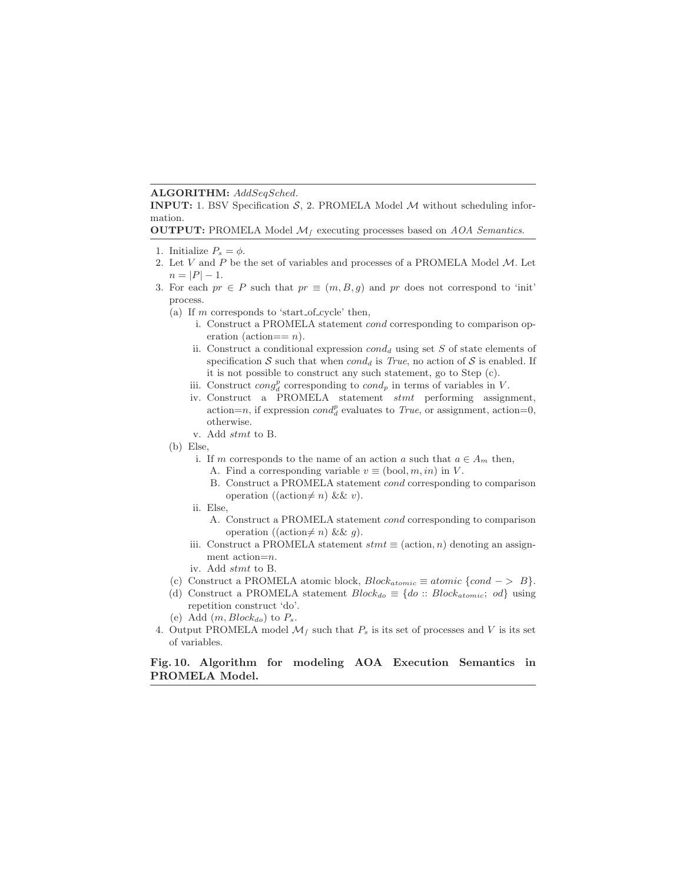#### ALGORITHM: AddSeqSched.

**INPUT:** 1. BSV Specification  $S$ , 2. PROMELA Model  $M$  without scheduling information.

**OUTPUT:** PROMELA Model  $M_f$  executing processes based on  $AOA$  Semantics.

- 1. Initialize  $P_s = \phi$ .
- 2. Let  $V$  and  $P$  be the set of variables and processes of a PROMELA Model  $M$ . Let  $n = |P| - 1.$
- 3. For each  $pr \in P$  such that  $pr \equiv (m, B, g)$  and  $pr$  does not correspond to 'init' process.
	- (a) If  $m$  corresponds to 'start\_of\_cycle' then,
		- i. Construct a PROMELA statement cond corresponding to comparison operation (action==  $n$ ).
		- ii. Construct a conditional expression  $cond_d$  using set S of state elements of specification  $S$  such that when  $cond_d$  is  $True$ , no action of  $S$  is enabled. If it is not possible to construct any such statement, go to Step (c).
		- iii. Construct  $cong_d^p$  corresponding to  $cond_p$  in terms of variables in V.
		- iv. Construct a PROMELA statement stmt performing assignment, action=n, if expression  $cond_d^p$  evaluates to *True*, or assignment, action=0, otherwise.
		- v. Add stmt to B.
	- (b) Else,
		- i. If m corresponds to the name of an action a such that  $a \in A_m$  then,
			- A. Find a corresponding variable  $v \equiv (b \cdot o \cdot n, in)$  in V.
			- B. Construct a PROMELA statement cond corresponding to comparison operation ((action  $\neq n$ ) && v).
		- ii. Else,
			- A. Construct a PROMELA statement cond corresponding to comparison operation ((action  $\neq n$ ) &  $g$ ).
		- iii. Construct a PROMELA statement  $s$ tmt  $\equiv$  (action, n) denoting an assignment action=n.
		- iv. Add stmt to B.
	- (c) Construct a PROMELA atomic block,  $Block_{atomic} \equiv atomic \{cond > B\}.$
	- (d) Construct a PROMELA statement  $Block_{do} \equiv \{ do:: Block_{atomic}; od \}$  using repetition construct 'do'.
	- (e) Add  $(m, Block_{do})$  to  $P_s$ .
- 4. Output PROMELA model  $\mathcal{M}_f$  such that  $P_s$  is its set of processes and V is its set of variables.

# Fig. 10. Algorithm for modeling AOA Execution Semantics in PROMELA Model.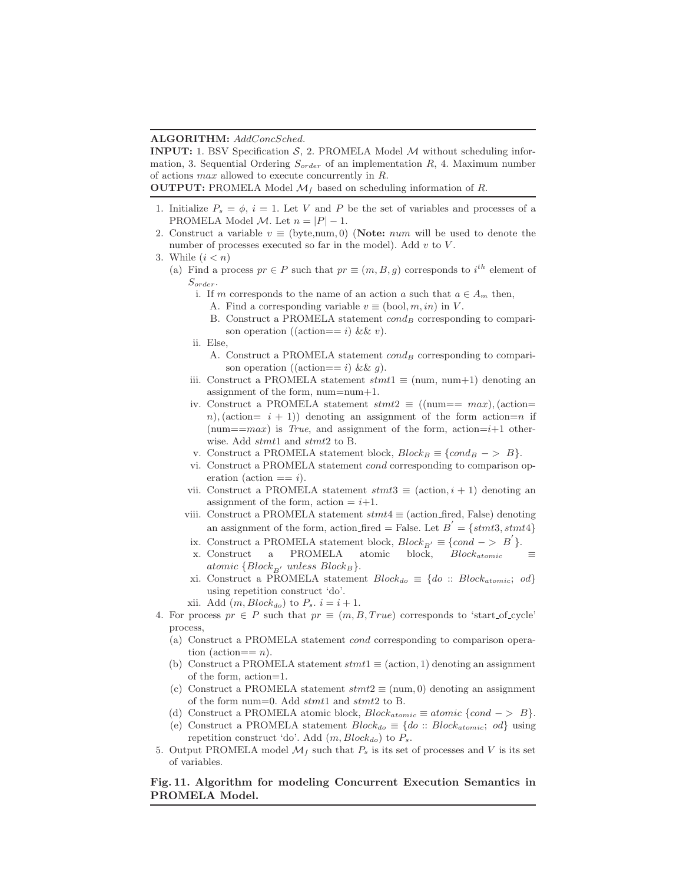#### ALGORITHM: AddConcSched.

**INPUT:** 1. BSV Specification  $S$ , 2. PROMELA Model  $M$  without scheduling information, 3. Sequential Ordering  $S_{order}$  of an implementation  $R$ , 4. Maximum number of actions max allowed to execute concurrently in R.

**OUTPUT:** PROMELA Model  $\mathcal{M}_f$  based on scheduling information of R.

- 1. Initialize  $P_s = \phi$ ,  $i = 1$ . Let V and P be the set of variables and processes of a PROMELA Model M. Let  $n = |P| - 1$ .
- 2. Construct a variable  $v \equiv$  (byte, num, 0) (Note: *num* will be used to denote the number of processes executed so far in the model). Add  $v$  to  $V$ .
- 3. While  $(i < n)$ 
	- (a) Find a process  $pr \in P$  such that  $pr \equiv (m, B, g)$  corresponds to  $i^{th}$  element of Sorder.
		- i. If m corresponds to the name of an action a such that  $a \in A_m$  then,
			- A. Find a corresponding variable  $v \equiv (b \cdot o \cdot n, in)$  in V.
			- B. Construct a PROMELA statement  $cond_B$  corresponding to comparison operation ((action== i) &  $v$ ).
		- ii. Else,
			- A. Construct a PROMELA statement  $cond_B$  corresponding to comparison operation ((action== i) & & g).
		- iii. Construct a PROMELA statement  $smt1 \equiv$  (num, num+1) denoting an assignment of the form, num=num+1.
		- iv. Construct a PROMELA statement  $stmt2 \equiv ($ (num==  $max$ ), (action=  $n$ , (action=  $i + 1$ ) denoting an assignment of the form action=n if (num==max) is True, and assignment of the form, action= $i+1$  otherwise. Add  $stmt1$  and  $stmt2$  to B.
		- v. Construct a PROMELA statement block,  $Block_B \equiv \{cond_B > B\}.$
		- vi. Construct a PROMELA statement cond corresponding to comparison operation (action  $== i$ ).
		- vii. Construct a PROMELA statement  $stmt3 \equiv (action, i + 1)$  denoting an assignment of the form, action  $= i+1$ .
		- viii. Construct a PROMELA statement  $stmt4 \equiv (action\_fired, False)$  denoting an assignment of the form, action fired = False. Let  $B' = \{stmt3, stmt4\}$
		- ix. Construct a PROMELA statement block,  $Block_{B'} \equiv \{cond \; \; > \; B^{'}\}.$
		- x. Construct a PROMELA atomic block, Block<sub>atomic</sub> atomic  ${Block_{B'} \text{ unless Block}_B}.$
		- xi. Construct a PROMELA statement  $Block_{do} \equiv \{ do : : Block_{atomic}; \text{ } od \}$ using repetition construct 'do'.
		- xii. Add  $(m, Block_{do})$  to  $P_s$ .  $i = i + 1$ .
- 4. For process  $pr \in P$  such that  $pr \equiv (m, B, True)$  corresponds to 'start\_of\_cycle' process,
	- (a) Construct a PROMELA statement cond corresponding to comparison operation (action==  $n$ ).
	- (b) Construct a PROMELA statement  $stmt1 \equiv (action, 1)$  denoting an assignment of the form, action=1.
	- (c) Construct a PROMELA statement  $smt2 \equiv (num, 0)$  denoting an assignment of the form num=0. Add  $stmt1$  and  $stmt2$  to B.
	- (d) Construct a PROMELA atomic block,  $Block_{atomic} \equiv atomic \{cond \ \ > \ B\}.$
	- (e) Construct a PROMELA statement  $Block_{do} \equiv \{ do :: Block_{atomic}; od \}$  using repetition construct 'do'. Add  $(m, Block_{do})$  to  $P_s$ .
- 5. Output PROMELA model  $\mathcal{M}_f$  such that  $P_s$  is its set of processes and V is its set of variables.

## Fig. 11. Algorithm for modeling Concurrent Execution Semantics in PROMELA Model.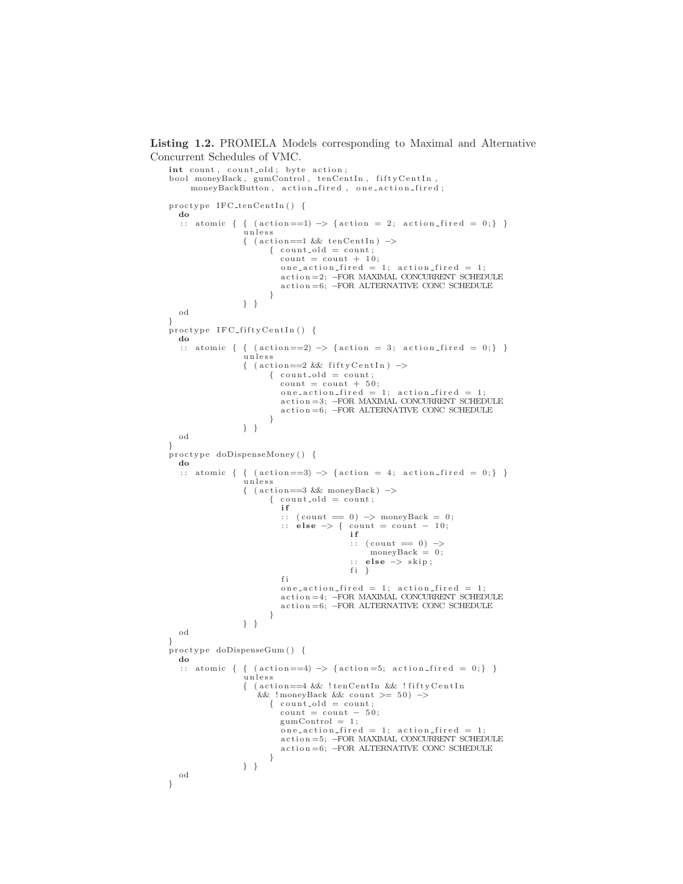Listing 1.2. PROMELA Models corresponding to Maximal and Alternative Concurrent Schedules of VMC.

```
int count, count_old; byte action;
bool moneyBack, gumControl, tenCentIn, fiftyCentIn
     moneyBackButton, action_fired, one_action_fired;
proctype IFC_tenCentIn() {
  do
  :: atomic { { \{ (action = = 1) \rightarrow { action = 2; action fired = 0;} }
                  u n l e s s
                  \{ (action = = 1 & & ten Cent In) ->
                         \{ count_old = count;
                            count = count + 10;
                            one_action_fired = 1; action_fired = 1;
                            \arctan=2; –FOR MAXIMAL CONCURRENT SCHEDULE
                            \arctan = 6; -FOR ALTERNATIVE CONC SCHEDULE
                         }
                  } }
  od
}
\overrightarrow{p} proctype IFC_fiftyCentIn() {
  do
  :: atomic { { \{ (action = 2) -> {action = 3; action_fired = 0;} }
                  unless
                  { (\text{action==}2 \&\&\text{ fiftyCentIn}) \Rightarrow\{ count_old = count;
                           count = count + 50;one_action_fired = 1; action_fired = 1;<br>action=3; -FOR MAXIMAL CONCURRENT SCHEDULE
                            \arctan = 6; \overline{-FOR} ALTERNATIVE CONC SCHEDULE
                         }
                  } }
  od
}
proctype doDispenseMoney () {
  do
  :: atomic { { \{ (action = = 3) -> {action = 4; action fired = 0;} }
                  unless
                  \{ (action = = 3 & & money Back) ->
                         \{ count-old = count;
                           i f
                            \hspace{2cm} : \hspace{2cm} (\text{count} \implies 0) \hspace{2cm} \mathord{\mapsto} \hspace{2cm} \text{moneyBack} \hspace{2cm} = \hspace{2cm} 0;\therefore else \Rightarrow { count = count - 10;
                                             i f
                                             :: (count == 0) \rightarrowmoneyBack = 0;\cdots else \rightarrow skip;
                                             f i }
                            f i
                            one_action_fired = 1; action_fired = 1;<br>action=4; -FOR MAXIMAL CONCURRENT SCHEDULE
                            \arctan =6; -FOR ALTERNATIVE CONC SCHEDULE
                         }
                  } }
  od
}
proctype doDispenseGum() {
  do
  :: atomic { { \{ (action = = 4) -> {action = 5; action - fired = 0;} }
                  u n l e s s
                  { (action==4 && !tenCentIn && !fiftyCentIn
                      & ! moneyBack & count >= 50) \rightarrow\{ count_old = count;
                            count = count - 50;gumControl = 1;
                            one_action_fired = 1; action_fired = 1;<br>action=5; -FOR MAXIMAL CONCURRENT SCHEDULE
                            \arctan =6; -FOR ALTERNATIVE CONC SCHEDULE
                         }
                  } }
  od
}
```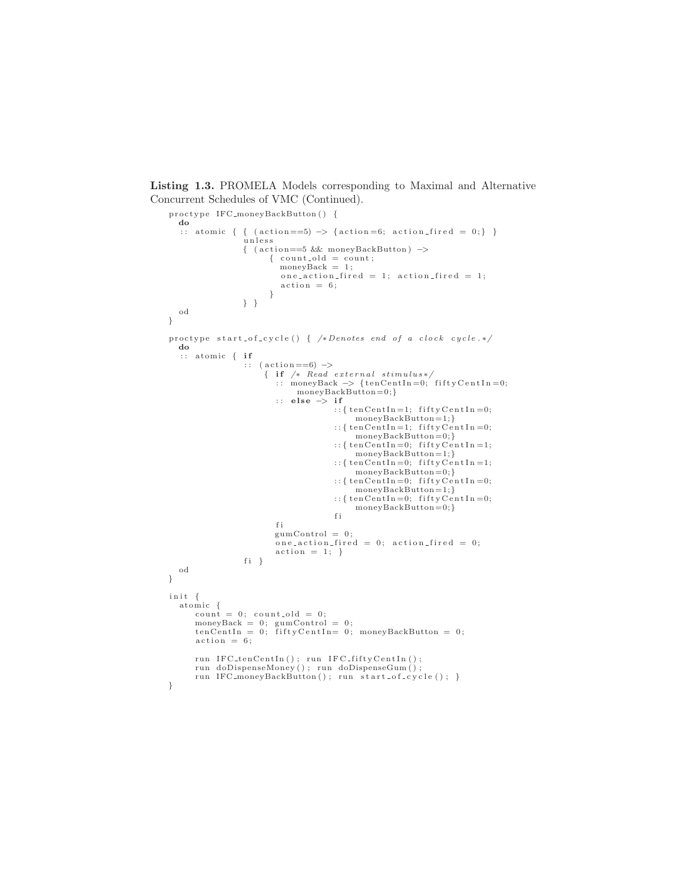Listing 1.3. PROMELA Models corresponding to Maximal and Alternative Concurrent Schedules of VMC (Continued).

```
proctype IFC_moneyBackButton() {
  do
  :: atomic { { (action == 5) -> {action = 6; action fired = 0;} }
                unless
                { ( a c t i o n==5 && moneyBackButton ) −>
                      \{ count_old = count;
                        moneyBack = 1;one\_action\_fired = 1; action\_fired = 1;\arctan = 6;
                      }
                } }
  od
}
proctype start_of_cycle() { /*Denotes end of a clock cycle.*/
  do
  :: atomic { if
                 \therefore (action==6) ->
                     { if /* Read external stimulus*/<br>:: moneyBack -> {tenCentIn=0; fiftyCentIn=0;
                            moneyBackButton=0;}
                        \therefore else \rightarrow if
                                     ::{ tenCentIn=1; fiftyCentIn=0;
                                         moneyBackButton=1;}
                                     ::{ tenCentIn=1; fiftyCentIn=0;
                                         moneyBackButton=0;}
                                     ::{ tenCentIn=0; fiftyCentIn=1;
                                         moneyBackButton=1;}
                                     ::{ tenCentIn=0; fiftyCentIn=1;
                                         moneyBackButton=0;}
                                     ::{ tenCentIn=0; fiftyCentIn=0;
                                         moneyBackButton=1;}
                                     ::{ tenCentIn=0; fiftyCentIn=0;
                                         moneyBackButton=0;}
                                     f i
                        f i
                        gumControl = 0;
                        one-action\_fired = 0; action\_fired = 0;\text{action} = 1; \}fi \}od
}
in i t\ \{atomic {
      count = 0; count_old = 0;<br>moneyBack = 0; gumControl = 0;<br>tenCentIn = 0; fiftyCentIn= 0; moneyBackButton = 0;
      \arctan = 6;
      run IFC_tenCentIn(); run IFC_fiftyCentIn();
      run doDispenseMoney (); run doDispenseGum ();
      run IFC_moneyBackButton(); run start_of_cycle(); }
}
```